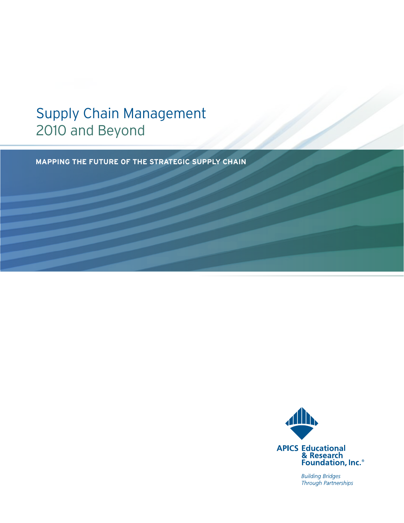# Supply Chain Management 2010 and Beyond

**Mapping the future of the Strategic Supply Chain**



**Building Bridges Editional Process**<br>Through Partnerships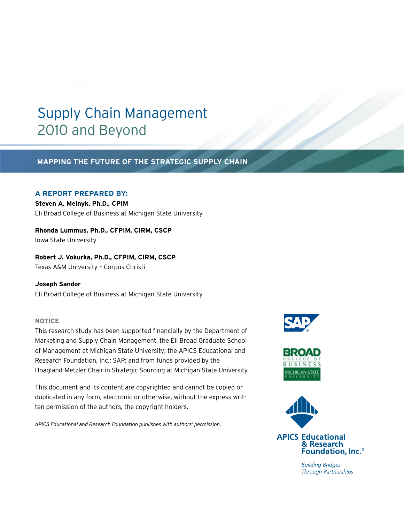# Supply Chain Management 2010 and Beyond

# **Mapping the future of the Strategic Supply Chain**

## **A Report Prepared by:**

**Steven A. Melnyk, Ph.D., CPIM** Eli Broad College of Business at Michigan State University

**Rhonda Lummus, Ph.D., CFPIM, CIRM, CSCP** Iowa State University

**Robert J. Vokurka, Ph.D., CFPIM, CIRM, CSCP** Texas A&M University – Corpus Christi

#### **Joseph Sandor**

Eli Broad College of Business at Michigan State University

### **Notice**

This research study has been supported financially by the Department of Marketing and Supply Chain Management, the Eli Broad Graduate School of Management at Michigan State University; the APICS Educational and Research Foundation, Inc.; SAP; and from funds provided by the Hoagland-Metzler Chair in Strategic Sourcing at Michigan State University.

This document and its content are copyrighted and cannot be copied or duplicated in any form, electronic or otherwise, without the express written permission of the authors, the copyright holders.

*APICS Educational and Research Foundation publishes with authors' permission.*







**Building Bridges** Through Partnerships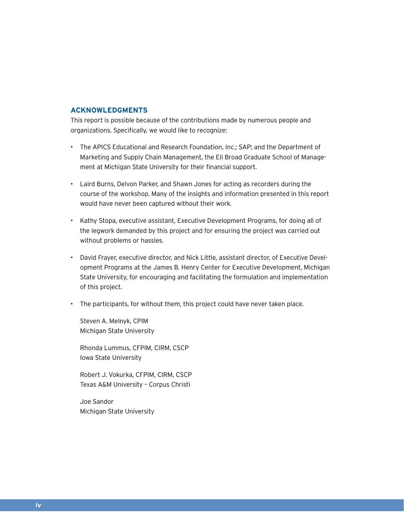### **ACKNOWLEDGMENTS**

This report is possible because of the contributions made by numerous people and organizations. Specifically, we would like to recognize:

- The APICS Educational and Research Foundation, Inc.; SAP; and the Department of Marketing and Supply Chain Management, the Eli Broad Graduate School of Management at Michigan State University for their financial support.
- Laird Burns, Delvon Parker, and Shawn Jones for acting as recorders during the course of the workshop. Many of the insights and information presented in this report would have never been captured without their work.
- Kathy Stopa, executive assistant, Executive Development Programs, for doing all of the legwork demanded by this project and for ensuring the project was carried out without problems or hassles.
- David Frayer, executive director, and Nick Little, assistant director, of Executive Development Programs at the James B. Henry Center for Executive Development, Michigan State University, for encouraging and facilitating the formulation and implementation of this project.
- The participants, for without them, this project could have never taken place.

Steven A. Melnyk, CPIM Michigan State University

Rhonda Lummus, CFPIM, CIRM, CSCP Iowa State University

Robert J. Vokurka, CFPIM, CIRM, CSCP Texas A&M University – Corpus Christi

Joe Sandor Michigan State University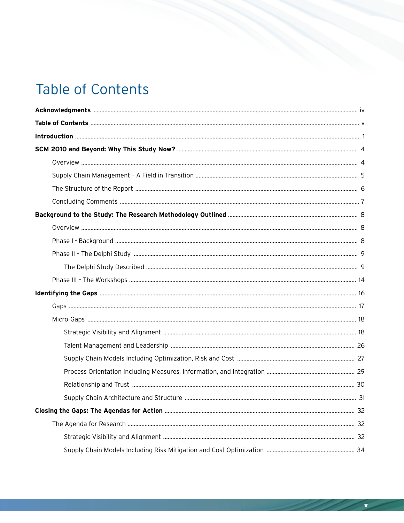# Table of Contents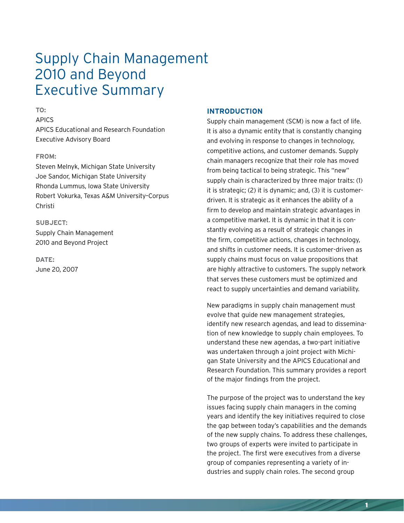# Supply Chain Management 2010 and Beyond Executive Summary

## **To:**

APICS

APICS Educational and Research Foundation Executive Advisory Board

### **From:**

Steven Melnyk, Michigan State University Joe Sandor, Michigan State University Rhonda Lummus, Iowa State University Robert Vokurka, Texas A&M University–Corpus Christi

# **Subject:** Supply Chain Management 2010 and Beyond Project

**DATE:** June 20, 2007

### **INTRODUCTION**

Supply chain management (SCM) is now a fact of life. It is also a dynamic entity that is constantly changing and evolving in response to changes in technology, competitive actions, and customer demands. Supply chain managers recognize that their role has moved from being tactical to being strategic. This "new" supply chain is characterized by three major traits: (1) it is strategic; (2) it is dynamic; and, (3) it is customerdriven. It is strategic as it enhances the ability of a firm to develop and maintain strategic advantages in a competitive market. It is dynamic in that it is constantly evolving as a result of strategic changes in the firm, competitive actions, changes in technology, and shifts in customer needs. It is customer-driven as supply chains must focus on value propositions that are highly attractive to customers. The supply network that serves these customers must be optimized and react to supply uncertainties and demand variability.

New paradigms in supply chain management must evolve that guide new management strategies, identify new research agendas, and lead to dissemination of new knowledge to supply chain employees. To understand these new agendas, a two-part initiative was undertaken through a joint project with Michigan State University and the APICS Educational and Research Foundation. This summary provides a report of the major findings from the project.

The purpose of the project was to understand the key issues facing supply chain managers in the coming years and identify the key initiatives required to close the gap between today's capabilities and the demands of the new supply chains. To address these challenges, two groups of experts were invited to participate in the project. The first were executives from a diverse group of companies representing a variety of industries and supply chain roles. The second group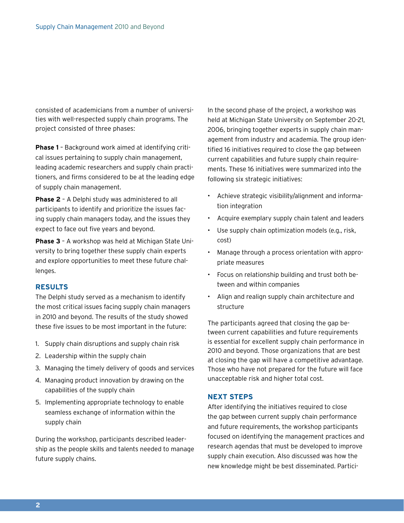consisted of academicians from a number of universities with well-respected supply chain programs. The project consisted of three phases:

**Phase 1** – Background work aimed at identifying critical issues pertaining to supply chain management, leading academic researchers and supply chain practitioners, and firms considered to be at the leading edge of supply chain management.

**Phase 2** – A Delphi study was administered to all participants to identify and prioritize the issues facing supply chain managers today, and the issues they expect to face out five years and beyond.

**Phase 3** – A workshop was held at Michigan State University to bring together these supply chain experts and explore opportunities to meet these future challenges.

### **RESULTS**

The Delphi study served as a mechanism to identify the most critical issues facing supply chain managers in 2010 and beyond. The results of the study showed these five issues to be most important in the future:

- 1. Supply chain disruptions and supply chain risk
- 2. Leadership within the supply chain
- 3. Managing the timely delivery of goods and services
- 4. Managing product innovation by drawing on the capabilities of the supply chain
- 5. Implementing appropriate technology to enable seamless exchange of information within the supply chain

During the workshop, participants described leadership as the people skills and talents needed to manage future supply chains.

In the second phase of the project, a workshop was held at Michigan State University on September 20-21, 2006, bringing together experts in supply chain management from industry and academia. The group identified 16 initiatives required to close the gap between current capabilities and future supply chain requirements. These 16 initiatives were summarized into the following six strategic initiatives:

- Achieve strategic visibility/alignment and information integration
- Acquire exemplary supply chain talent and leaders
- Use supply chain optimization models (e.g., risk, cost)
- Manage through a process orientation with appropriate measures
- Focus on relationship building and trust both between and within companies
- Align and realign supply chain architecture and structure

The participants agreed that closing the gap between current capabilities and future requirements is essential for excellent supply chain performance in 2010 and beyond. Those organizations that are best at closing the gap will have a competitive advantage. Those who have not prepared for the future will face unacceptable risk and higher total cost.

### **NEXT STEPS**

After identifying the initiatives required to close the gap between current supply chain performance and future requirements, the workshop participants focused on identifying the management practices and research agendas that must be developed to improve supply chain execution. Also discussed was how the new knowledge might be best disseminated. Partici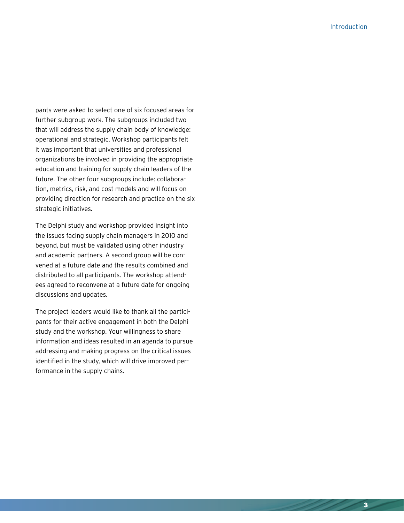pants were asked to select one of six focused areas for further subgroup work. The subgroups included two that will address the supply chain body of knowledge: operational and strategic. Workshop participants felt it was important that universities and professional organizations be involved in providing the appropriate education and training for supply chain leaders of the future. The other four subgroups include: collaboration, metrics, risk, and cost models and will focus on providing direction for research and practice on the six strategic initiatives.

The Delphi study and workshop provided insight into the issues facing supply chain managers in 2010 and beyond, but must be validated using other industry and academic partners. A second group will be convened at a future date and the results combined and distributed to all participants. The workshop attendees agreed to reconvene at a future date for ongoing discussions and updates.

The project leaders would like to thank all the participants for their active engagement in both the Delphi study and the workshop. Your willingness to share information and ideas resulted in an agenda to pursue addressing and making progress on the critical issues identified in the study, which will drive improved performance in the supply chains.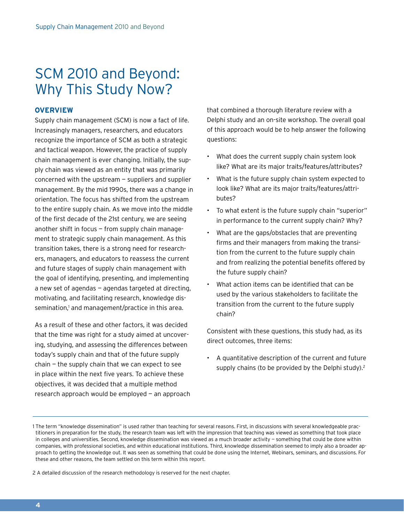# SCM 2010 and Beyond: Why This Study Now?

## **Overview**

Supply chain management (SCM) is now a fact of life. Increasingly managers, researchers, and educators recognize the importance of SCM as both a strategic and tactical weapon. However, the practice of supply chain management is ever changing. Initially, the supply chain was viewed as an entity that was primarily concerned with the upstream  $-$  suppliers and supplier management. By the mid 1990s, there was a change in orientation. The focus has shifted from the upstream to the entire supply chain. As we move into the middle of the first decade of the 21st century, we are seeing another shift in focus — from supply chain management to strategic supply chain management. As this transition takes, there is a strong need for researchers, managers, and educators to reassess the current and future stages of supply chain management with the goal of identifying, presenting, and implementing a new set of agendas — agendas targeted at directing, motivating, and facilitating research, knowledge dissemination,<sup>1</sup> and management/practice in this area.

As a result of these and other factors, it was decided that the time was right for a study aimed at uncovering, studying, and assessing the differences between today's supply chain and that of the future supply  $chain - the supply chain that we can expect to see$ in place within the next five years. To achieve these objectives, it was decided that a multiple method research approach would be employed — an approach that combined a thorough literature review with a Delphi study and an on-site workshop. The overall goal of this approach would be to help answer the following questions:

- What does the current supply chain system look like? What are its major traits/features/attributes?
- What is the future supply chain system expected to look like? What are its major traits/features/attributes?
- To what extent is the future supply chain "superior" in performance to the current supply chain? Why?
- What are the gaps/obstacles that are preventing firms and their managers from making the transition from the current to the future supply chain and from realizing the potential benefits offered by the future supply chain?
- What action items can be identified that can be used by the various stakeholders to facilitate the transition from the current to the future supply chain?

Consistent with these questions, this study had, as its direct outcomes, three items:

• A quantitative description of the current and future supply chains (to be provided by the Delphi study). $2^2$ 

2 A detailed discussion of the research methodology is reserved for the next chapter.

<sup>1</sup> The term "knowledge dissemination" is used rather than teaching for several reasons. First, in discussions with several knowledgeable practitioners in preparation for the study, the research team was left with the impression that teaching was viewed as something that took place in colleges and universities. Second, knowledge dissemination was viewed as a much broader activity — something that could be done within companies, with professional societies, and within educational institutions. Third, knowledge dissemination seemed to imply also a broader approach to getting the knowledge out. It was seen as something that could be done using the Internet, Webinars, seminars, and discussions. For these and other reasons, the team settled on this term within this report.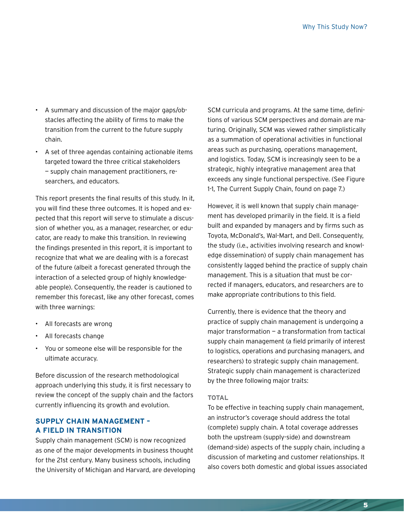- A summary and discussion of the major gaps/obstacles affecting the ability of firms to make the transition from the current to the future supply chain.
- A set of three agendas containing actionable items targeted toward the three critical stakeholders — supply chain management practitioners, researchers, and educators.

This report presents the final results of this study. In it, you will find these three outcomes. It is hoped and expected that this report will serve to stimulate a discussion of whether you, as a manager, researcher, or educator, are ready to make this transition. In reviewing the findings presented in this report, it is important to recognize that what we are dealing with is a forecast of the future (albeit a forecast generated through the interaction of a selected group of highly knowledgeable people). Consequently, the reader is cautioned to remember this forecast, like any other forecast, comes with three warnings:

- All forecasts are wrong
- All forecasts change
- You or someone else will be responsible for the ultimate accuracy.

Before discussion of the research methodological approach underlying this study, it is first necessary to review the concept of the supply chain and the factors currently influencing its growth and evolution.

## **Supply Chain Management – A Field in Transition**

Supply chain management (SCM) is now recognized as one of the major developments in business thought for the 21st century. Many business schools, including the University of Michigan and Harvard, are developing SCM curricula and programs. At the same time, definitions of various SCM perspectives and domain are maturing. Originally, SCM was viewed rather simplistically as a summation of operational activities in functional areas such as purchasing, operations management, and logistics. Today, SCM is increasingly seen to be a strategic, highly integrative management area that exceeds any single functional perspective. (See Figure 1-1, The Current Supply Chain, found on page 7.)

However, it is well known that supply chain management has developed primarily in the field. It is a field built and expanded by managers and by firms such as Toyota, McDonald's, Wal-Mart, and Dell. Consequently, the study (i.e., activities involving research and knowledge dissemination) of supply chain management has consistently lagged behind the practice of supply chain management. This is a situation that must be corrected if managers, educators, and researchers are to make appropriate contributions to this field.

Currently, there is evidence that the theory and practice of supply chain management is undergoing a major transformation — a transformation from tactical supply chain management (a field primarily of interest to logistics, operations and purchasing managers, and researchers) to strategic supply chain management. Strategic supply chain management is characterized by the three following major traits:

#### **Total**

To be effective in teaching supply chain management, an instructor's coverage should address the total (complete) supply chain. A total coverage addresses both the upstream (supply-side) and downstream (demand-side) aspects of the supply chain, including a discussion of marketing and customer relationships. It also covers both domestic and global issues associated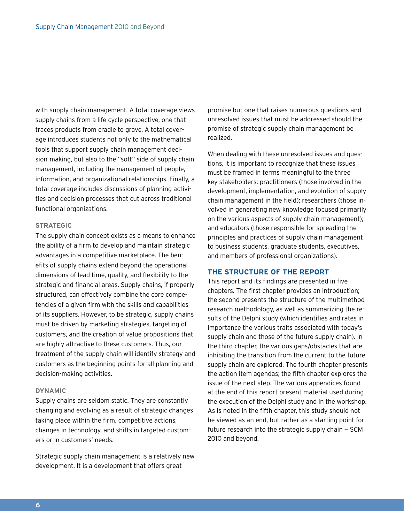with supply chain management. A total coverage views supply chains from a life cycle perspective, one that traces products from cradle to grave. A total coverage introduces students not only to the mathematical tools that support supply chain management decision-making, but also to the "soft" side of supply chain management, including the management of people, information, and organizational relationships. Finally, a total coverage includes discussions of planning activities and decision processes that cut across traditional functional organizations.

#### **Strategic**

The supply chain concept exists as a means to enhance the ability of a firm to develop and maintain strategic advantages in a competitive marketplace. The benefits of supply chains extend beyond the operational dimensions of lead time, quality, and flexibility to the strategic and financial areas. Supply chains, if properly structured, can effectively combine the core competencies of a given firm with the skills and capabilities of its suppliers. However, to be strategic, supply chains must be driven by marketing strategies, targeting of customers, and the creation of value propositions that are highly attractive to these customers. Thus, our treatment of the supply chain will identify strategy and customers as the beginning points for all planning and decision-making activities.

#### **Dynamic**

Supply chains are seldom static. They are constantly changing and evolving as a result of strategic changes taking place within the firm, competitive actions, changes in technology, and shifts in targeted customers or in customers' needs.

Strategic supply chain management is a relatively new development. It is a development that offers great

promise but one that raises numerous questions and unresolved issues that must be addressed should the promise of strategic supply chain management be realized.

When dealing with these unresolved issues and questions, it is important to recognize that these issues must be framed in terms meaningful to the three key stakeholders: practitioners (those involved in the development, implementation, and evolution of supply chain management in the field); researchers (those involved in generating new knowledge focused primarily on the various aspects of supply chain management); and educators (those responsible for spreading the principles and practices of supply chain management to business students, graduate students, executives, and members of professional organizations).

### **The Structure of the Report**

This report and its findings are presented in five chapters. The first chapter provides an introduction; the second presents the structure of the multimethod research methodology, as well as summarizing the results of the Delphi study (which identifies and rates in importance the various traits associated with today's supply chain and those of the future supply chain). In the third chapter, the various gaps/obstacles that are inhibiting the transition from the current to the future supply chain are explored. The fourth chapter presents the action item agendas; the fifth chapter explores the issue of the next step. The various appendices found at the end of this report present material used during the execution of the Delphi study and in the workshop. As is noted in the fifth chapter, this study should not be viewed as an end, but rather as a starting point for future research into the strategic supply chain — SCM 2010 and beyond.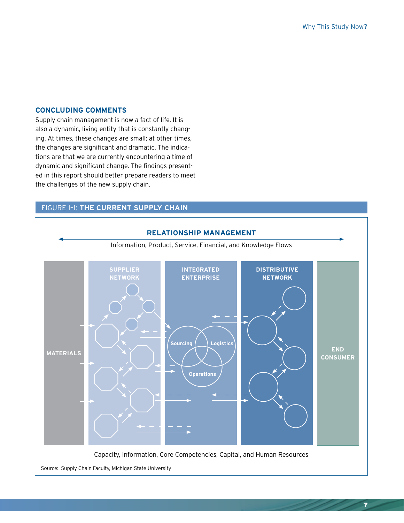### **Concluding Comments**

Supply chain management is now a fact of life. It is also a dynamic, living entity that is constantly changing. At times, these changes are small; at other times, the changes are significant and dramatic. The indications are that we are currently encountering a time of dynamic and significant change. The findings presented in this report should better prepare readers to meet the challenges of the new supply chain.

# Figure 1–1: **The Current Supply Chain**

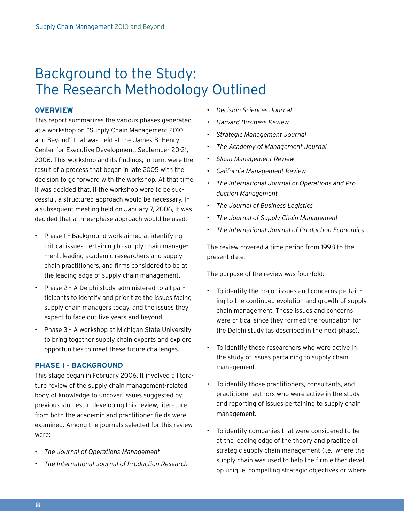# Background to the Study: The Research Methodology Outlined

## **Overview**

This report summarizes the various phases generated at a workshop on "Supply Chain Management 2010 and Beyond" that was held at the James B. Henry Center for Executive Development, September 20-21, 2006. This workshop and its findings, in turn, were the result of a process that began in late 2005 with the decision to go forward with the workshop. At that time, it was decided that, if the workshop were to be successful, a structured approach would be necessary. In a subsequent meeting held on January 7, 2006, it was decided that a three-phase approach would be used:

- Phase 1 Background work aimed at identifying critical issues pertaining to supply chain management, leading academic researchers and supply chain practitioners, and firms considered to be at the leading edge of supply chain management.
- Phase 2 A Delphi study administered to all participants to identify and prioritize the issues facing supply chain managers today, and the issues they expect to face out five years and beyond.
- Phase 3 A workshop at Michigan State University to bring together supply chain experts and explore opportunities to meet these future challenges.

## **Phase I - Background**

This stage began in February 2006. It involved a literature review of the supply chain management-related body of knowledge to uncover issues suggested by previous studies. In developing this review, literature from both the academic and practitioner fields were examined. Among the journals selected for this review were:

- *• The Journal of Operations Management*
- *• The International Journal of Production Research*
- *• Decision Sciences Journal*
- *• Harvard Business Review*
- *• Strategic Management Journal*
- *• The Academy of Management Journal*
- *• Sloan Management Review*
- *• California Management Review*
- *• The International Journal of Operations and Production Management*
- *• The Journal of Business Logistics*
- *• The Journal of Supply Chain Management*
- *• The International Journal of Production Economics*

The review covered a time period from 1998 to the present date.

The purpose of the review was four-fold:

- To identify the major issues and concerns pertaining to the continued evolution and growth of supply chain management. These issues and concerns were critical since they formed the foundation for the Delphi study (as described in the next phase).
- To identify those researchers who were active in the study of issues pertaining to supply chain management.
- To identify those practitioners, consultants, and practitioner authors who were active in the study and reporting of issues pertaining to supply chain management.
- To identify companies that were considered to be at the leading edge of the theory and practice of strategic supply chain management (i.e., where the supply chain was used to help the firm either develop unique, compelling strategic objectives or where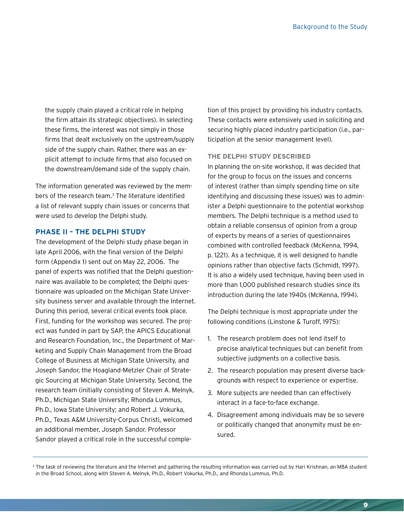the supply chain played a critical role in helping the firm attain its strategic objectives). In selecting these firms, the interest was not simply in those firms that dealt exclusively on the upstream/supply side of the supply chain. Rather, there was an explicit attempt to include firms that also focused on the downstream/demand side of the supply chain.

The information generated was reviewed by the members of the research team.<sup>3</sup> The literature identified a list of relevant supply chain issues or concerns that were used to develop the Delphi study.

### **Phase II – The Delphi Study**

The development of the Delphi study phase began in late April 2006, with the final version of the Delphi form (Appendix 1) sent out on May 22, 2006. The panel of experts was notified that the Delphi questionnaire was available to be completed; the Delphi questionnaire was uploaded on the Michigan State University business server and available through the Internet. During this period, several critical events took place. First, funding for the workshop was secured. The project was funded in part by SAP, the APICS Educational and Research Foundation, Inc., the Department of Marketing and Supply Chain Management from the Broad College of Business at Michigan State University, and Joseph Sandor, the Hoagland-Metzler Chair of Strategic Sourcing at Michigan State University. Second, the research team (initially consisting of Steven A. Melnyk, Ph.D., Michigan State University; Rhonda Lummus, Ph.D., Iowa State University; and Robert J. Vokurka, Ph.D., Texas A&M University-Corpus Christi, welcomed an additional member, Joseph Sandor. Professor Sandor played a critical role in the successful completion of this project by providing his industry contacts. These contacts were extensively used in soliciting and securing highly placed industry participation (i.e., participation at the senior management level).

#### **The Delphi Study Described**

In planning the on-site workshop, it was decided that for the group to focus on the issues and concerns of interest (rather than simply spending time on site identifying and discussing these issues) was to administer a Delphi questionnaire to the potential workshop members. The Delphi technique is a method used to obtain a reliable consensus of opinion from a group of experts by means of a series of questionnaires combined with controlled feedback (McKenna, 1994, p. 1221). As a technique, it is well designed to handle opinions rather than objective facts (Schmidt, 1997). It is also a widely used technique, having been used in more than 1,000 published research studies since its introduction during the late 1940s (McKenna, 1994).

The Delphi technique is most appropriate under the following conditions (Linstone & Turoff, 1975):

- 1. The research problem does not lend itself to precise analytical techniques but can benefit from subjective judgments on a collective basis.
- 2. The research population may present diverse backgrounds with respect to experience or expertise.
- 3. More subjects are needed than can effectively interact in a face-to-face exchange.
- 4. Disagreement among individuals may be so severe or politically changed that anonymity must be ensured.

<sup>&</sup>lt;sup>3</sup> The task of reviewing the literature and the Internet and gathering the resulting information was carried out by Hari Krishnan, an MBA student in the Broad School, along with Steven A. Melnyk, Ph.D., Robert Vokurka, Ph.D., and Rhonda Lummus, Ph.D.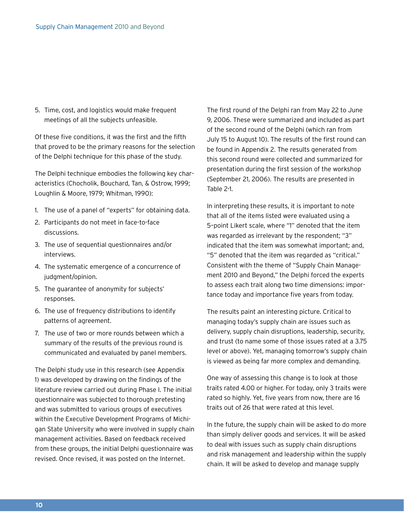5. Time, cost, and logistics would make frequent meetings of all the subjects unfeasible.

Of these five conditions, it was the first and the fifth that proved to be the primary reasons for the selection of the Delphi technique for this phase of the study.

The Delphi technique embodies the following key characteristics (Chocholik, Bouchard, Tan, & Ostrow, 1999; Loughlin & Moore, 1979; Whitman, 1990):

- 1. The use of a panel of "experts" for obtaining data.
- 2. Participants do not meet in face-to-face discussions.
- 3. The use of sequential questionnaires and/or interviews.
- 4. The systematic emergence of a concurrence of judgment/opinion.
- 5. The guarantee of anonymity for subjects' responses.
- 6. The use of frequency distributions to identify patterns of agreement.
- 7. The use of two or more rounds between which a summary of the results of the previous round is communicated and evaluated by panel members.

The Delphi study use in this research (see Appendix 1) was developed by drawing on the findings of the literature review carried out during Phase I. The initial questionnaire was subjected to thorough pretesting and was submitted to various groups of executives within the Executive Development Programs of Michigan State University who were involved in supply chain management activities. Based on feedback received from these groups, the initial Delphi questionnaire was revised. Once revised, it was posted on the Internet.

The first round of the Delphi ran from May 22 to June 9, 2006. These were summarized and included as part of the second round of the Delphi (which ran from July 15 to August 10). The results of the first round can be found in Appendix 2. The results generated from this second round were collected and summarized for presentation during the first session of the workshop (September 21, 2006). The results are presented in Table 2-1.

In interpreting these results, it is important to note that all of the items listed were evaluated using a 5–point Likert scale, where "1" denoted that the item was regarded as irrelevant by the respondent; "3" indicated that the item was somewhat important; and, "5" denoted that the item was regarded as "critical." Consistent with the theme of "Supply Chain Management 2010 and Beyond," the Delphi forced the experts to assess each trait along two time dimensions: importance today and importance five years from today.

The results paint an interesting picture. Critical to managing today's supply chain are issues such as delivery, supply chain disruptions, leadership, security, and trust (to name some of those issues rated at a 3.75 level or above). Yet, managing tomorrow's supply chain is viewed as being far more complex and demanding.

One way of assessing this change is to look at those traits rated 4.00 or higher. For today, only 3 traits were rated so highly. Yet, five years from now, there are 16 traits out of 26 that were rated at this level.

In the future, the supply chain will be asked to do more than simply deliver goods and services. It will be asked to deal with issues such as supply chain disruptions and risk management and leadership within the supply chain. It will be asked to develop and manage supply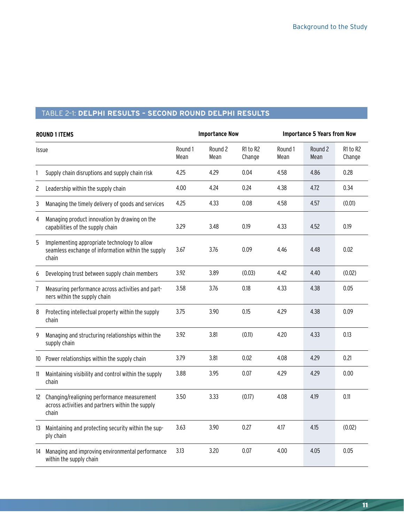# Table 2–1: **Delphi Results – Second Round Delphi Results**

| <b>ROUND 1 ITEMS</b><br><i><b>Issue</b></i> |                                                                                                             | <b>Importance Now</b> |                 |                    | <b>Importance 5 Years from Now</b> |                 |                    |
|---------------------------------------------|-------------------------------------------------------------------------------------------------------------|-----------------------|-----------------|--------------------|------------------------------------|-----------------|--------------------|
|                                             |                                                                                                             | Round 1<br>Mean       | Round 2<br>Mean | R1 to R2<br>Change | Round 1<br>Mean                    | Round 2<br>Mean | R1 to R2<br>Change |
| 1                                           | Supply chain disruptions and supply chain risk                                                              | 4.25                  | 4.29            | 0.04               | 4.58                               | 4.86            | 0.28               |
| 2                                           | Leadership within the supply chain                                                                          | 4.00                  | 4.24            | 0.24               | 4.38                               | 4.72            | 0.34               |
| 3                                           | Managing the timely delivery of goods and services                                                          | 4.25                  | 4.33            | 0.08               | 4.58                               | 4.57            | (0.01)             |
| 4                                           | Managing product innovation by drawing on the<br>capabilities of the supply chain                           | 3.29                  | 3.48            | 0.19               | 4.33                               | 4.52            | 0.19               |
| 5                                           | Implementing appropriate technology to allow<br>seamless exchange of information within the supply<br>chain | 3.67                  | 3.76            | 0.09               | 4.46                               | 4.48            | 0.02               |
| 6                                           | Developing trust between supply chain members                                                               | 3.92                  | 3.89            | (0.03)             | 4.42                               | 4.40            | (0.02)             |
| 7                                           | Measuring performance across activities and part-<br>ners within the supply chain                           | 3.58                  | 3.76            | 0.18               | 4.33                               | 4.38            | 0.05               |
| 8                                           | Protecting intellectual property within the supply<br>chain                                                 | 3.75                  | 3.90            | 0.15               | 4.29                               | 4.38            | 0.09               |
| 9                                           | Managing and structuring relationships within the<br>supply chain                                           | 3.92                  | 3.81            | (0.11)             | 4.20                               | 4.33            | 0.13               |
| 10                                          | Power relationships within the supply chain                                                                 | 3.79                  | 3.81            | 0.02               | 4.08                               | 4.29            | 0.21               |
| 11                                          | Maintaining visibility and control within the supply<br>chain                                               | 3.88                  | 3.95            | 0.07               | 4.29                               | 4.29            | 0.00               |
|                                             | 12 Changing/realigning performance measurement<br>across activities and partners within the supply<br>chain | 3.50                  | 3.33            | (0.17)             | 4.08                               | 4.19            | 0.11               |
| 13                                          | Maintaining and protecting security within the sup-<br>ply chain                                            | 3.63                  | 3.90            | 0.27               | 4.17                               | 4.15            | (0.02)             |
| 14                                          | Managing and improving environmental performance<br>within the supply chain                                 | 3.13                  | 3.20            | 0.07               | 4.00                               | 4.05            | 0.05               |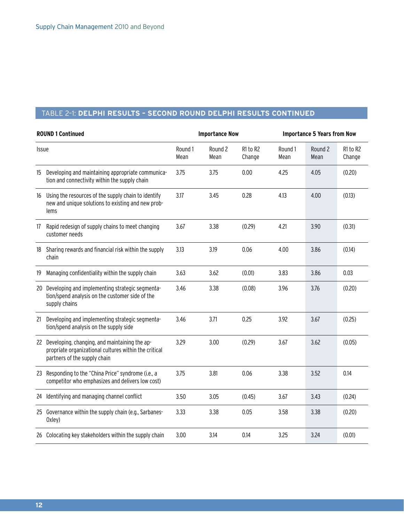# Table 2–1: **Delphi Results – Second Round Delphi Results Continued**

| <b>ROUND 1 Continued</b><br><i><b>Issue</b></i> |                                                                                                                                           | <b>Importance Now</b> |                 |                    | <b>Importance 5 Years from Now</b> |                 |                    |
|-------------------------------------------------|-------------------------------------------------------------------------------------------------------------------------------------------|-----------------------|-----------------|--------------------|------------------------------------|-----------------|--------------------|
|                                                 |                                                                                                                                           | Round 1<br>Mean       | Round 2<br>Mean | R1 to R2<br>Change | Round 1<br>Mean                    | Round 2<br>Mean | R1 to R2<br>Change |
| 15                                              | Developing and maintaining appropriate communica-<br>tion and connectivity within the supply chain                                        | 3.75                  | 3.75            | 0.00               | 4.25                               | 4.05            | (0.20)             |
|                                                 | 16 Using the resources of the supply chain to identify<br>new and unique solutions to existing and new prob-<br>lems                      | 3.17                  | 3.45            | 0.28               | 4.13                               | 4.00            | (0.13)             |
| 17                                              | Rapid redesign of supply chains to meet changing<br>customer needs                                                                        | 3.67                  | 3.38            | (0.29)             | 4.21                               | 3.90            | (0.31)             |
| 18                                              | Sharing rewards and financial risk within the supply<br>chain                                                                             | 3.13                  | 3.19            | 0.06               | 4.00                               | 3.86            | (0.14)             |
| 19                                              | Managing confidentiality within the supply chain                                                                                          | 3.63                  | 3.62            | (0.01)             | 3.83                               | 3.86            | 0.03               |
|                                                 | 20 Developing and implementing strategic segmenta-<br>tion/spend analysis on the customer side of the<br>supply chains                    | 3.46                  | 3.38            | (0.08)             | 3.96                               | 3.76            | (0.20)             |
| 21                                              | Developing and implementing strategic segmenta-<br>tion/spend analysis on the supply side                                                 | 3.46                  | 3.71            | 0.25               | 3.92                               | 3.67            | (0.25)             |
|                                                 | 22 Developing, changing, and maintaining the ap-<br>propriate organizational cultures within the critical<br>partners of the supply chain | 3.29                  | 3.00            | (0.29)             | 3.67                               | 3.62            | (0.05)             |
|                                                 | 23 Responding to the "China Price" syndrome (i.e., a<br>competitor who emphasizes and delivers low cost)                                  | 3.75                  | 3.81            | 0.06               | 3.38                               | 3.52            | 0.14               |
|                                                 | 24 Identifying and managing channel conflict                                                                                              | 3.50                  | 3.05            | (0.45)             | 3.67                               | 3.43            | (0.24)             |
|                                                 | 25 Governance within the supply chain (e.g., Sarbanes-<br>Oxley)                                                                          | 3.33                  | 3.38            | 0.05               | 3.58                               | 3.38            | (0.20)             |
|                                                 | 26 Colocating key stakeholders within the supply chain                                                                                    | 3.00                  | 3.14            | 0.14               | 3.25                               | 3.24            | (0.01)             |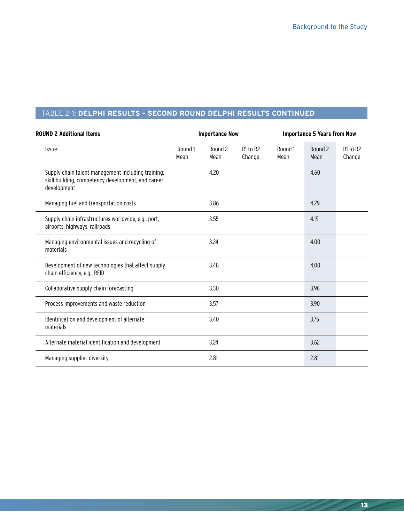# Table 2–1: **Delphi Results – Second Round Delphi Results Continued**

| <b>ROUND 2 Additional Items</b>                                                                                         |                 | <b>Importance Now</b> |                    |                 | <b>Importance 5 Years from Now</b> |                    |
|-------------------------------------------------------------------------------------------------------------------------|-----------------|-----------------------|--------------------|-----------------|------------------------------------|--------------------|
| <i>Issue</i>                                                                                                            | Round 1<br>Mean | Round 2<br>Mean       | R1 to R2<br>Change | Round 1<br>Mean | Round 2<br>Mean                    | R1 to R2<br>Change |
| Supply chain talent management including training,<br>skill building, competency development, and career<br>development |                 | 4.20                  |                    |                 | 4.60                               |                    |
| Managing fuel and transportation costs                                                                                  |                 | 3.86                  |                    |                 | 4.29                               |                    |
| Supply chain infrastructures worldwide, e.g., port,<br>airports, highways, railroads                                    |                 | 3.55                  |                    |                 | 4.19                               |                    |
| Managing environmental issues and recycling of<br>materials                                                             |                 | 3.24                  |                    |                 | 4.00                               |                    |
| Development of new technologies that affect supply<br>chain efficiency, e.g., RFID                                      |                 | 3.48                  |                    |                 | 4.00                               |                    |
| Collaborative supply chain forecasting                                                                                  |                 | 3.30                  |                    |                 | 3.96                               |                    |
| Process improvements and waste reduction                                                                                |                 | 3.57                  |                    |                 | 3.90                               |                    |
| Identification and development of alternate<br>materials                                                                |                 | 3.40                  |                    |                 | 3.75                               |                    |
| Alternate material identification and development                                                                       |                 | 3.24                  |                    |                 | 3.62                               |                    |
| Managing supplier diversity                                                                                             |                 | 2.81                  |                    |                 | 2.81                               |                    |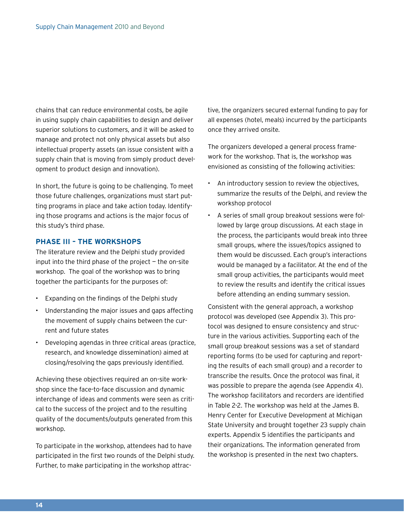chains that can reduce environmental costs, be agile in using supply chain capabilities to design and deliver superior solutions to customers, and it will be asked to manage and protect not only physical assets but also intellectual property assets (an issue consistent with a supply chain that is moving from simply product development to product design and innovation).

In short, the future is going to be challenging. To meet those future challenges, organizations must start putting programs in place and take action today. Identifying those programs and actions is the major focus of this study's third phase.

### **Phase III – The Workshops**

The literature review and the Delphi study provided input into the third phase of the project  $-$  the on-site workshop. The goal of the workshop was to bring together the participants for the purposes of:

- Expanding on the findings of the Delphi study
- Understanding the major issues and gaps affecting the movement of supply chains between the current and future states
- Developing agendas in three critical areas (practice, research, and knowledge dissemination) aimed at closing/resolving the gaps previously identified.

Achieving these objectives required an on-site workshop since the face-to-face discussion and dynamic interchange of ideas and comments were seen as critical to the success of the project and to the resulting quality of the documents/outputs generated from this workshop.

To participate in the workshop, attendees had to have participated in the first two rounds of the Delphi study. Further, to make participating in the workshop attractive, the organizers secured external funding to pay for all expenses (hotel, meals) incurred by the participants once they arrived onsite.

The organizers developed a general process framework for the workshop. That is, the workshop was envisioned as consisting of the following activities:

- An introductory session to review the objectives, summarize the results of the Delphi, and review the workshop protocol
- A series of small group breakout sessions were followed by large group discussions. At each stage in the process, the participants would break into three small groups, where the issues/topics assigned to them would be discussed. Each group's interactions would be managed by a facilitator. At the end of the small group activities, the participants would meet to review the results and identify the critical issues before attending an ending summary session.

Consistent with the general approach, a workshop protocol was developed (see Appendix 3). This protocol was designed to ensure consistency and structure in the various activities. Supporting each of the small group breakout sessions was a set of standard reporting forms (to be used for capturing and reporting the results of each small group) and a recorder to transcribe the results. Once the protocol was final, it was possible to prepare the agenda (see Appendix 4). The workshop facilitators and recorders are identified in Table 2-2. The workshop was held at the James B. Henry Center for Executive Development at Michigan State University and brought together 23 supply chain experts. Appendix 5 identifies the participants and their organizations. The information generated from the workshop is presented in the next two chapters.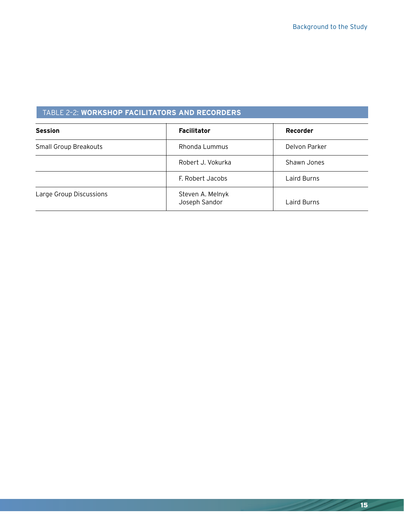# Table 2–2: **Workshop Facilitators and Recorders**

| <b>Session</b>               | <b>Facilitator</b>                | <b>Recorder</b> |
|------------------------------|-----------------------------------|-----------------|
| <b>Small Group Breakouts</b> | Rhonda Lummus                     | Delvon Parker   |
|                              | Robert J. Vokurka                 | Shawn Jones     |
|                              | F. Robert Jacobs                  | Laird Burns     |
| Large Group Discussions      | Steven A. Melnyk<br>Joseph Sandor | Laird Burns     |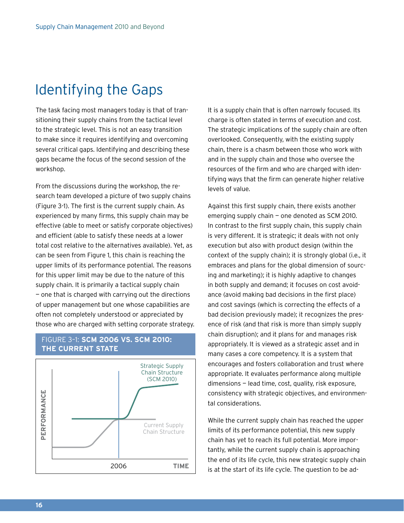# Identifying the Gaps

The task facing most managers today is that of transitioning their supply chains from the tactical level to the strategic level. This is not an easy transition to make since it requires identifying and overcoming several critical gaps. Identifying and describing these gaps became the focus of the second session of the workshop.

From the discussions during the workshop, the research team developed a picture of two supply chains (Figure 3-1). The first is the current supply chain. As experienced by many firms, this supply chain may be effective (able to meet or satisfy corporate objectives) and efficient (able to satisfy these needs at a lower total cost relative to the alternatives available). Yet, as can be seen from Figure 1, this chain is reaching the upper limits of its performance potential. The reasons for this upper limit may be due to the nature of this supply chain. It is primarily a tactical supply chain — one that is charged with carrying out the directions of upper management but one whose capabilities are often not completely understood or appreciated by those who are charged with setting corporate strategy.

## Figure 3–1: **SCM 2006 vs. SCM 2010: The Current State**



It is a supply chain that is often narrowly focused. Its charge is often stated in terms of execution and cost. The strategic implications of the supply chain are often overlooked. Consequently, with the existing supply chain, there is a chasm between those who work with and in the supply chain and those who oversee the resources of the firm and who are charged with identifying ways that the firm can generate higher relative levels of value.

Against this first supply chain, there exists another emerging supply chain — one denoted as SCM 2010. In contrast to the first supply chain, this supply chain is very different. It is strategic; it deals with not only execution but also with product design (within the context of the supply chain); it is strongly global (i.e., it embraces and plans for the global dimension of sourcing and marketing); it is highly adaptive to changes in both supply and demand; it focuses on cost avoidance (avoid making bad decisions in the first place) and cost savings (which is correcting the effects of a bad decision previously made); it recognizes the presence of risk (and that risk is more than simply supply chain disruption); and it plans for and manages risk appropriately. It is viewed as a strategic asset and in many cases a core competency. It is a system that encourages and fosters collaboration and trust where appropriate. It evaluates performance along multiple dimensions — lead time, cost, quality, risk exposure, consistency with strategic objectives, and environmental considerations.

While the current supply chain has reached the upper limits of its performance potential, this new supply chain has yet to reach its full potential. More importantly, while the current supply chain is approaching the end of its life cycle, this new strategic supply chain is at the start of its life cycle. The question to be ad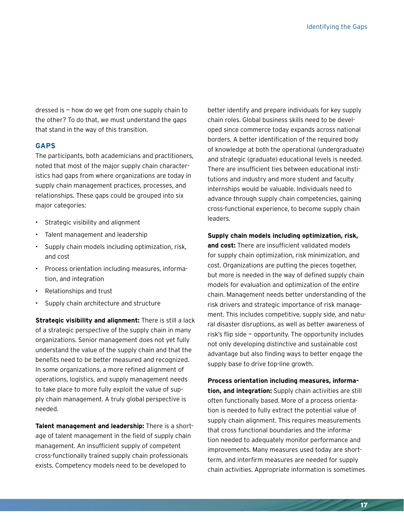dressed is  $-$  how do we get from one supply chain to the other? To do that, we must understand the gaps that stand in the way of this transition.

### **Gaps**

The participants, both academicians and practitioners, noted that most of the major supply chain characteristics had gaps from where organizations are today in supply chain management practices, processes, and relationships. These gaps could be grouped into six major categories:

- Strategic visibility and alignment
- Talent management and leadership
- Supply chain models including optimization, risk, and cost
- Process orientation including measures, information, and integration
- Relationships and trust
- Supply chain architecture and structure

**Strategic visibility and alignment:** There is still a lack of a strategic perspective of the supply chain in many organizations. Senior management does not yet fully understand the value of the supply chain and that the benefits need to be better measured and recognized. In some organizations, a more refined alignment of operations, logistics, and supply management needs to take place to more fully exploit the value of supply chain management. A truly global perspective is needed.

**Talent management and leadership:** There is a shortage of talent management in the field of supply chain management. An insufficient supply of competent cross-functionally trained supply chain professionals exists. Competency models need to be developed to

better identify and prepare individuals for key supply chain roles. Global business skills need to be developed since commerce today expands across national borders. A better identification of the required body of knowledge at both the operational (undergraduate) and strategic (graduate) educational levels is needed. There are insufficient ties between educational institutions and industry and more student and faculty internships would be valuable. Individuals need to advance through supply chain competencies, gaining cross-functional experience, to become supply chain leaders.

#### **Supply chain models including optimization, risk,**

**and cost:** There are insufficient validated models for supply chain optimization, risk minimization, and cost. Organizations are putting the pieces together, but more is needed in the way of defined supply chain models for evaluation and optimization of the entire chain. Management needs better understanding of the risk drivers and strategic importance of risk management. This includes competitive, supply side, and natural disaster disruptions, as well as better awareness of risk's flip side — opportunity. The opportunity includes not only developing distinctive and sustainable cost advantage but also finding ways to better engage the supply base to drive top-line growth.

**Process orientation including measures, information, and integration:** Supply chain activities are still often functionally based. More of a process orientation is needed to fully extract the potential value of supply chain alignment. This requires measurements that cross functional boundaries and the information needed to adequately monitor performance and improvements. Many measures used today are shortterm, and interfirm measures are needed for supply chain activities. Appropriate information is sometimes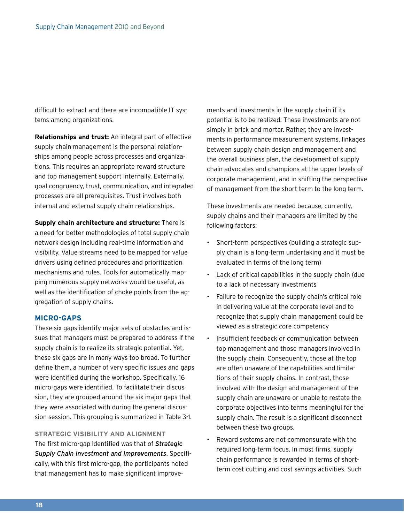difficult to extract and there are incompatible IT systems among organizations.

**Relationships and trust:** An integral part of effective supply chain management is the personal relationships among people across processes and organizations. This requires an appropriate reward structure and top management support internally. Externally, goal congruency, trust, communication, and integrated processes are all prerequisites. Trust involves both internal and external supply chain relationships.

**Supply chain architecture and structure:** There is a need for better methodologies of total supply chain network design including real-time information and visibility. Value streams need to be mapped for value drivers using defined procedures and prioritization mechanisms and rules. Tools for automatically mapping numerous supply networks would be useful, as well as the identification of choke points from the aggregation of supply chains.

#### **Micro-Gaps**

These six gaps identify major sets of obstacles and issues that managers must be prepared to address if the supply chain is to realize its strategic potential. Yet, these six gaps are in many ways too broad. To further define them, a number of very specific issues and gaps were identified during the workshop. Specifically, 16 micro-gaps were identified. To facilitate their discussion, they are grouped around the six major gaps that they were associated with during the general discussion session. This grouping is summarized in Table 3-1.

#### **Strategic visibility and Alignment**

The first micro-gap identified was that of *Strategic Supply Chain Investment and Improvements*. Specifically, with this first micro-gap, the participants noted that management has to make significant improve-

ments and investments in the supply chain if its potential is to be realized. These investments are not simply in brick and mortar. Rather, they are investments in performance measurement systems, linkages between supply chain design and management and the overall business plan, the development of supply chain advocates and champions at the upper levels of corporate management, and in shifting the perspective of management from the short term to the long term.

These investments are needed because, currently, supply chains and their managers are limited by the following factors:

- Short-term perspectives (building a strategic supply chain is a long-term undertaking and it must be evaluated in terms of the long term)
- Lack of critical capabilities in the supply chain (due to a lack of necessary investments
- Failure to recognize the supply chain's critical role in delivering value at the corporate level and to recognize that supply chain management could be viewed as a strategic core competency
- Insufficient feedback or communication between top management and those managers involved in the supply chain. Consequently, those at the top are often unaware of the capabilities and limitations of their supply chains. In contrast, those involved with the design and management of the supply chain are unaware or unable to restate the corporate objectives into terms meaningful for the supply chain. The result is a significant disconnect between these two groups.
- Reward systems are not commensurate with the required long-term focus. In most firms, supply chain performance is rewarded in terms of shortterm cost cutting and cost savings activities. Such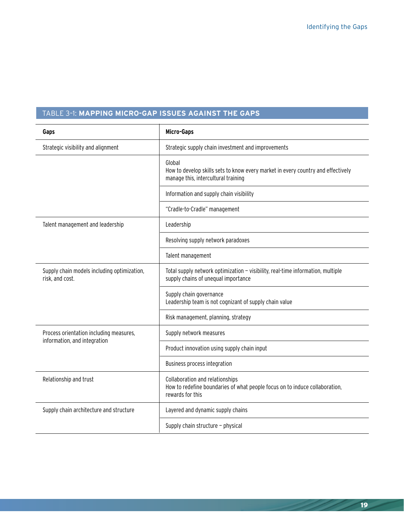# Table 3–1: **Mapping Micro-Gap Issues against the Gaps**

| Gaps                                                           | Micro-Gaps                                                                                                                         |
|----------------------------------------------------------------|------------------------------------------------------------------------------------------------------------------------------------|
| Strategic visibility and alignment                             | Strategic supply chain investment and improvements                                                                                 |
|                                                                | Global<br>How to develop skills sets to know every market in every country and effectively<br>manage this, intercultural training  |
|                                                                | Information and supply chain visibility                                                                                            |
|                                                                | "Cradle-to-Cradle" management                                                                                                      |
| Talent management and leadership                               | Leadership                                                                                                                         |
|                                                                | Resolving supply network paradoxes                                                                                                 |
|                                                                | Talent management                                                                                                                  |
| Supply chain models including optimization,<br>risk, and cost. | Total supply network optimization - visibility, real-time information, multiple<br>supply chains of unequal importance             |
|                                                                | Supply chain governance<br>Leadership team is not cognizant of supply chain value                                                  |
|                                                                | Risk management, planning, strategy                                                                                                |
| Process orientation including measures,                        | Supply network measures                                                                                                            |
| information, and integration                                   | Product innovation using supply chain input                                                                                        |
|                                                                | Business process integration                                                                                                       |
| Relationship and trust                                         | Collaboration and relationships<br>How to redefine boundaries of what people focus on to induce collaboration,<br>rewards for this |
| Supply chain architecture and structure                        | Layered and dynamic supply chains                                                                                                  |
|                                                                | Supply chain structure - physical                                                                                                  |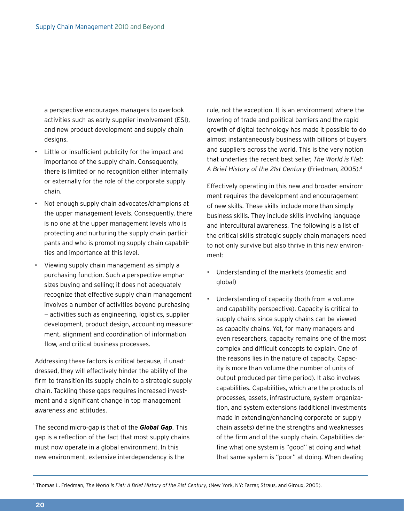a perspective encourages managers to overlook activities such as early supplier involvement (ESI), and new product development and supply chain designs.

- Little or insufficient publicity for the impact and importance of the supply chain. Consequently, there is limited or no recognition either internally or externally for the role of the corporate supply chain.
- Not enough supply chain advocates/champions at the upper management levels. Consequently, there is no one at the upper management levels who is protecting and nurturing the supply chain participants and who is promoting supply chain capabilities and importance at this level.
- Viewing supply chain management as simply a purchasing function. Such a perspective emphasizes buying and selling; it does not adequately recognize that effective supply chain management involves a number of activities beyond purchasing — activities such as engineering, logistics, supplier development, product design, accounting measurement, alignment and coordination of information flow, and critical business processes.

Addressing these factors is critical because, if unaddressed, they will effectively hinder the ability of the firm to transition its supply chain to a strategic supply chain. Tackling these gaps requires increased investment and a significant change in top management awareness and attitudes.

The second micro-gap is that of the *Global Gap*. This gap is a reflection of the fact that most supply chains must now operate in a global environment. In this new environment, extensive interdependency is the

rule, not the exception. It is an environment where the lowering of trade and political barriers and the rapid growth of digital technology has made it possible to do almost instantaneously business with billions of buyers and suppliers across the world. This is the very notion that underlies the recent best seller, *The World is Flat: A Brief History of the 21st Century* (Friedman, 2005).4

Effectively operating in this new and broader environment requires the development and encouragement of new skills. These skills include more than simply business skills. They include skills involving language and intercultural awareness. The following is a list of the critical skills strategic supply chain managers need to not only survive but also thrive in this new environment:

- Understanding of the markets (domestic and global)
- Understanding of capacity (both from a volume and capability perspective). Capacity is critical to supply chains since supply chains can be viewed as capacity chains. Yet, for many managers and even researchers, capacity remains one of the most complex and difficult concepts to explain. One of the reasons lies in the nature of capacity. Capacity is more than volume (the number of units of output produced per time period). It also involves capabilities. Capabilities, which are the products of processes, assets, infrastructure, system organization, and system extensions (additional investments made in extending/enhancing corporate or supply chain assets) define the strengths and weaknesses of the firm and of the supply chain. Capabilities define what one system is "good" at doing and what that same system is "poor" at doing. When dealing

<sup>4</sup> Thomas L. Friedman, *The World is Flat: A Brief History of the 21st Century*, (New York, NY: Farrar, Straus, and Giroux, 2005).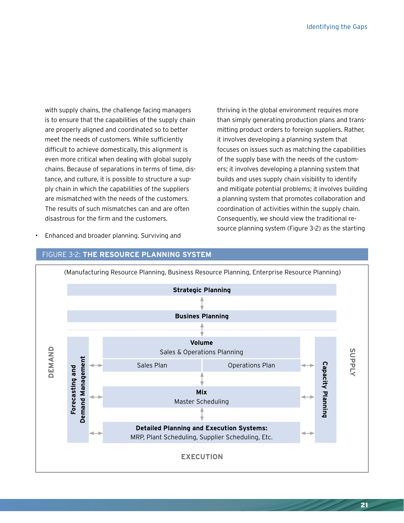with supply chains, the challenge facing managers is to ensure that the capabilities of the supply chain are properly aligned and coordinated so to better meet the needs of customers. While sufficiently difficult to achieve domestically, this alignment is even more critical when dealing with global supply chains. Because of separations in terms of time, distance, and culture, it is possible to structure a supply chain in which the capabilities of the suppliers are mismatched with the needs of the customers. The results of such mismatches can and are often disastrous for the firm and the customers.

• Enhanced and broader planning. Surviving and

thriving in the global environment requires more than simply generating production plans and transmitting product orders to foreign suppliers. Rather, it involves developing a planning system that focuses on issues such as matching the capabilities of the supply base with the needs of the customers; it involves developing a planning system that builds and uses supply chain visibility to identify and mitigate potential problems; it involves building a planning system that promotes collaboration and coordination of activities within the supply chain. Consequently, we should view the traditional resource planning system (Figure 3-2) as the starting



# Figure 3-2: **The Resource Planning System**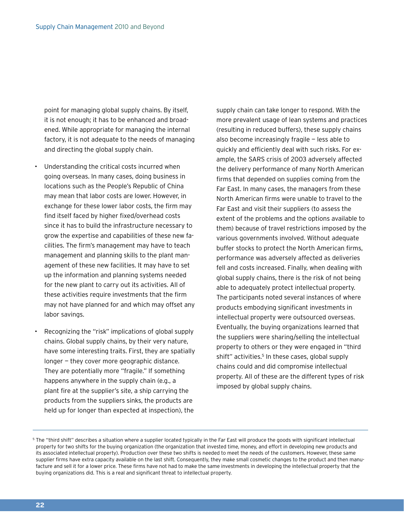point for managing global supply chains. By itself, it is not enough; it has to be enhanced and broadened. While appropriate for managing the internal factory, it is not adequate to the needs of managing and directing the global supply chain.

- Understanding the critical costs incurred when going overseas. In many cases, doing business in locations such as the People's Republic of China may mean that labor costs are lower. However, in exchange for these lower labor costs, the firm may find itself faced by higher fixed/overhead costs since it has to build the infrastructure necessary to grow the expertise and capabilities of these new facilities. The firm's management may have to teach management and planning skills to the plant management of these new facilities. It may have to set up the information and planning systems needed for the new plant to carry out its activities. All of these activities require investments that the firm may not have planned for and which may offset any labor savings.
- Recognizing the "risk" implications of global supply chains. Global supply chains, by their very nature, have some interesting traits. First, they are spatially longer — they cover more geographic distance. They are potentially more "fragile." If something happens anywhere in the supply chain (e.g., a plant fire at the supplier's site, a ship carrying the products from the suppliers sinks, the products are held up for longer than expected at inspection), the

supply chain can take longer to respond. With the more prevalent usage of lean systems and practices (resulting in reduced buffers), these supply chains also become increasingly fragile — less able to quickly and efficiently deal with such risks. For example, the SARS crisis of 2003 adversely affected the delivery performance of many North American firms that depended on supplies coming from the Far East. In many cases, the managers from these North American firms were unable to travel to the Far East and visit their suppliers (to assess the extent of the problems and the options available to them) because of travel restrictions imposed by the various governments involved. Without adequate buffer stocks to protect the North American firms, performance was adversely affected as deliveries fell and costs increased. Finally, when dealing with global supply chains, there is the risk of not being able to adequately protect intellectual property. The participants noted several instances of where products embodying significant investments in intellectual property were outsourced overseas. Eventually, the buying organizations learned that the suppliers were sharing/selling the intellectual property to others or they were engaged in "third shift" activities.<sup>5</sup> In these cases, global supply chains could and did compromise intellectual property. All of these are the different types of risk imposed by global supply chains.

<sup>5</sup> The "third shift" describes a situation where a supplier located typically in the Far East will produce the goods with significant intellectual property for two shifts for the buying organization (the organization that invested time, money, and effort in developing new products and its associated intellectual property). Production over these two shifts is needed to meet the needs of the customers. However, these same supplier firms have extra capacity available on the last shift. Consequently, they make small cosmetic changes to the product and then manufacture and sell it for a lower price. These firms have not had to make the same investments in developing the intellectual property that the buying organizations did. This is a real and significant threat to intellectual property.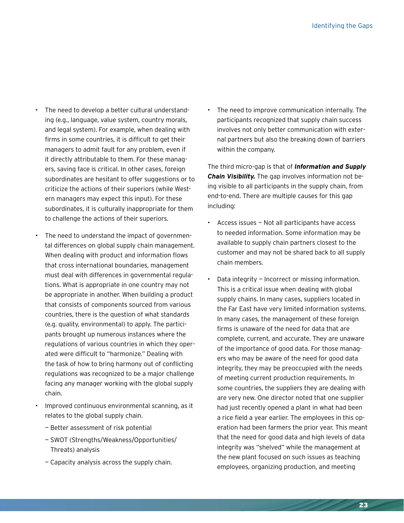- The need to develop a better cultural understanding (e.g., language, value system, country morals, and legal system). For example, when dealing with firms in some countries, it is difficult to get their managers to admit fault for any problem, even if it directly attributable to them. For these managers, saving face is critical. In other cases, foreign subordinates are hesitant to offer suggestions or to criticize the actions of their superiors (while Western managers may expect this input). For these subordinates, it is culturally inappropriate for them to challenge the actions of their superiors.
- The need to understand the impact of governmental differences on global supply chain management. When dealing with product and information flows that cross international boundaries, management must deal with differences in governmental regulations. What is appropriate in one country may not be appropriate in another. When building a product that consists of components sourced from various countries, there is the question of what standards (e.g. quality, environmental) to apply. The participants brought up numerous instances where the regulations of various countries in which they operated were difficult to "harmonize." Dealing with the task of how to bring harmony out of conflicting regulations was recognized to be a major challenge facing any manager working with the global supply chain.
- Improved continuous environmental scanning, as it relates to the global supply chain.
	- Better assessment of risk potential
	- SWOT (Strengths/Weakness/Opportunities/ Threats) analysis
	- Capacity analysis across the supply chain.

• The need to improve communication internally. The participants recognized that supply chain success involves not only better communication with external partners but also the breaking down of barriers within the company.

The third micro-gap is that of *Information and Supply Chain Visibility.* The gap involves information not being visible to all participants in the supply chain, from end-to-end. There are multiple causes for this gap including:

- Access issues Not all participants have access to needed information. Some information may be available to supply chain partners closest to the customer and may not be shared back to all supply chain members.
- Data integrity Incorrect or missing information. This is a critical issue when dealing with global supply chains. In many cases, suppliers located in the Far East have very limited information systems. In many cases, the management of these foreign firms is unaware of the need for data that are complete, current, and accurate. They are unaware of the importance of good data. For those managers who may be aware of the need for good data integrity, they may be preoccupied with the needs of meeting current production requirements. In some countries, the suppliers they are dealing with are very new. One director noted that one supplier had just recently opened a plant in what had been a rice field a year earlier. The employees in this operation had been farmers the prior year. This meant that the need for good data and high levels of data integrity was "shelved" while the management at the new plant focused on such issues as teaching employees, organizing production, and meeting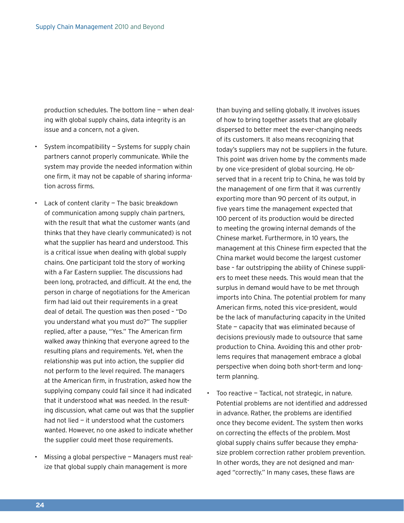production schedules. The bottom line — when dealing with global supply chains, data integrity is an issue and a concern, not a given.

- System incompatibility Systems for supply chain partners cannot properly communicate. While the system may provide the needed information within one firm, it may not be capable of sharing information across firms.
- Lack of content clarity The basic breakdown of communication among supply chain partners, with the result that what the customer wants (and thinks that they have clearly communicated) is not what the supplier has heard and understood. This is a critical issue when dealing with global supply chains. One participant told the story of working with a Far Eastern supplier. The discussions had been long, protracted, and difficult. At the end, the person in charge of negotiations for the American firm had laid out their requirements in a great deal of detail. The question was then posed – "Do you understand what you must do?" The supplier replied, after a pause, "Yes." The American firm walked away thinking that everyone agreed to the resulting plans and requirements. Yet, when the relationship was put into action, the supplier did not perform to the level required. The managers at the American firm, in frustration, asked how the supplying company could fail since it had indicated that it understood what was needed. In the resulting discussion, what came out was that the supplier had not lied – it understood what the customers wanted. However, no one asked to indicate whether the supplier could meet those requirements.
- Missing a global perspective Managers must realize that global supply chain management is more

than buying and selling globally. It involves issues of how to bring together assets that are globally dispersed to better meet the ever-changing needs of its customers. It also means recognizing that today's suppliers may not be suppliers in the future. This point was driven home by the comments made by one vice-president of global sourcing. He observed that in a recent trip to China, he was told by the management of one firm that it was currently exporting more than 90 percent of its output, in five years time the management expected that 100 percent of its production would be directed to meeting the growing internal demands of the Chinese market. Furthermore, in 10 years, the management at this Chinese firm expected that the China market would become the largest customer base – far outstripping the ability of Chinese suppliers to meet these needs. This would mean that the surplus in demand would have to be met through imports into China. The potential problem for many American firms, noted this vice-president, would be the lack of manufacturing capacity in the United State — capacity that was eliminated because of decisions previously made to outsource that same production to China. Avoiding this and other problems requires that management embrace a global perspective when doing both short-term and longterm planning.

• Too reactive — Tactical, not strategic, in nature. Potential problems are not identified and addressed in advance. Rather, the problems are identified once they become evident. The system then works on correcting the effects of the problem. Most global supply chains suffer because they emphasize problem correction rather problem prevention. In other words, they are not designed and managed "correctly." In many cases, these flaws are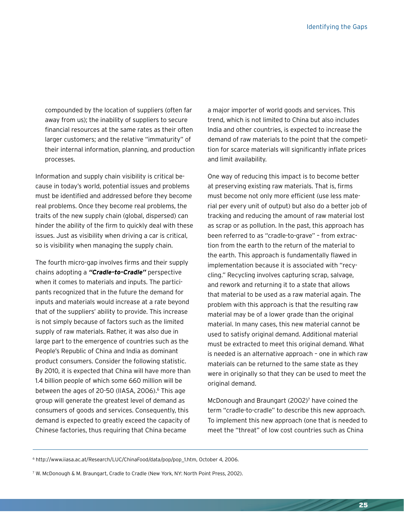compounded by the location of suppliers (often far away from us); the inability of suppliers to secure financial resources at the same rates as their often larger customers; and the relative "immaturity" of their internal information, planning, and production processes.

Information and supply chain visibility is critical because in today's world, potential issues and problems must be identified and addressed before they become real problems. Once they become real problems, the traits of the new supply chain (global, dispersed) can hinder the ability of the firm to quickly deal with these issues. Just as visibility when driving a car is critical, so is visibility when managing the supply chain.

The fourth micro-gap involves firms and their supply chains adopting a *"Cradle-to-Cradle"* perspective when it comes to materials and inputs. The participants recognized that in the future the demand for inputs and materials would increase at a rate beyond that of the suppliers' ability to provide. This increase is not simply because of factors such as the limited supply of raw materials. Rather, it was also due in large part to the emergence of countries such as the People's Republic of China and India as dominant product consumers. Consider the following statistic. By 2010, it is expected that China will have more than 1.4 billion people of which some 660 million will be between the ages of 20-50 (IIASA, 2006).<sup>6</sup> This age group will generate the greatest level of demand as consumers of goods and services. Consequently, this demand is expected to greatly exceed the capacity of Chinese factories, thus requiring that China became

a major importer of world goods and services. This trend, which is not limited to China but also includes India and other countries, is expected to increase the demand of raw materials to the point that the competition for scarce materials will significantly inflate prices and limit availability.

One way of reducing this impact is to become better at preserving existing raw materials. That is, firms must become not only more efficient (use less material per every unit of output) but also do a better job of tracking and reducing the amount of raw material lost as scrap or as pollution. In the past, this approach has been referred to as "cradle-to-grave" – from extraction from the earth to the return of the material to the earth. This approach is fundamentally flawed in implementation because it is associated with "recycling." Recycling involves capturing scrap, salvage, and rework and returning it to a state that allows that material to be used as a raw material again. The problem with this approach is that the resulting raw material may be of a lower grade than the original material. In many cases, this new material cannot be used to satisfy original demand. Additional material must be extracted to meet this original demand. What is needed is an alternative approach – one in which raw materials can be returned to the same state as they were in originally so that they can be used to meet the original demand.

McDonough and Braungart (2002)<sup>7</sup> have coined the term "cradle-to-cradle" to describe this new approach. To implement this new approach (one that is needed to meet the "threat" of low cost countries such as China

<sup>6</sup> http://www.iiasa.ac.at/Research/LUC/ChinaFood/data/pop/pop\_1.htm, October 4, 2006.

<sup>7</sup> W. McDonough & M. Braungart, Cradle to Cradle (New York, NY: North Point Press, 2002).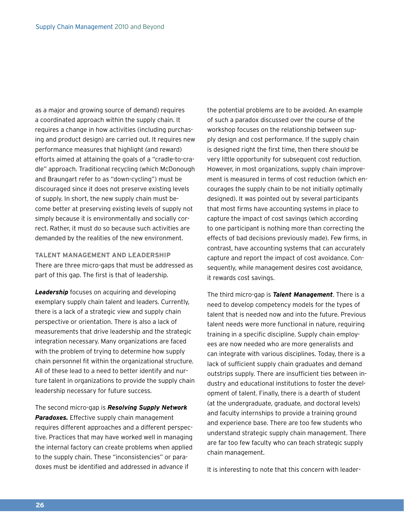as a major and growing source of demand) requires a coordinated approach within the supply chain. It requires a change in how activities (including purchasing and product design) are carried out. It requires new performance measures that highlight (and reward) efforts aimed at attaining the goals of a "cradle-to-cradle" approach. Traditional recycling (which McDonough and Braungart refer to as "down-cycling") must be discouraged since it does not preserve existing levels of supply. In short, the new supply chain must become better at preserving existing levels of supply not simply because it is environmentally and socially correct. Rather, it must do so because such activities are demanded by the realities of the new environment.

**Talent Management and Leadership** There are three micro-gaps that must be addressed as part of this gap. The first is that of leadership.

*Leadership* focuses on acquiring and developing exemplary supply chain talent and leaders. Currently, there is a lack of a strategic view and supply chain perspective or orientation. There is also a lack of measurements that drive leadership and the strategic integration necessary. Many organizations are faced with the problem of trying to determine how supply chain personnel fit within the organizational structure. All of these lead to a need to better identify and nurture talent in organizations to provide the supply chain leadership necessary for future success.

The second micro-gap is *Resolving Supply Network Paradoxes.* Effective supply chain management requires different approaches and a different perspective. Practices that may have worked well in managing the internal factory can create problems when applied to the supply chain. These "inconsistencies" or paradoxes must be identified and addressed in advance if

the potential problems are to be avoided. An example of such a paradox discussed over the course of the workshop focuses on the relationship between supply design and cost performance. If the supply chain is designed right the first time, then there should be very little opportunity for subsequent cost reduction. However, in most organizations, supply chain improvement is measured in terms of cost reduction (which encourages the supply chain to be not initially optimally designed). It was pointed out by several participants that most firms have accounting systems in place to capture the impact of cost savings (which according to one participant is nothing more than correcting the effects of bad decisions previously made). Few firms, in contrast, have accounting systems that can accurately capture and report the impact of cost avoidance. Consequently, while management desires cost avoidance, it rewards cost savings.

The third micro-gap is *Talent Management*. There is a need to develop competency models for the types of talent that is needed now and into the future. Previous talent needs were more functional in nature, requiring training in a specific discipline. Supply chain employees are now needed who are more generalists and can integrate with various disciplines. Today, there is a lack of sufficient supply chain graduates and demand outstrips supply. There are insufficient ties between industry and educational institutions to foster the development of talent. Finally, there is a dearth of student (at the undergraduate, graduate, and doctoral levels) and faculty internships to provide a training ground and experience base. There are too few students who understand strategic supply chain management. There are far too few faculty who can teach strategic supply chain management.

It is interesting to note that this concern with leader-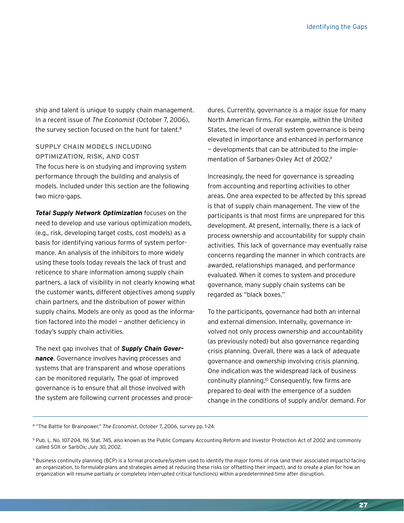ship and talent is unique to supply chain management. In a recent issue of *The Economist* (October 7, 2006), the survey section focused on the hunt for talent.8

# **Supply Chain Models Including Optimization, Risk, and Cost**

The focus here is on studying and improving system performance through the building and analysis of models. Included under this section are the following two micro-gaps.

*Total Supply Network Optimization* focuses on the need to develop and use various optimization models, (e.g., risk, developing target costs, cost models) as a basis for identifying various forms of system performance. An analysis of the inhibitors to more widely using these tools today reveals the lack of trust and reticence to share information among supply chain partners, a lack of visibility in not clearly knowing what the customer wants, different objectives among supply chain partners, and the distribution of power within supply chains. Models are only as good as the information factored into the model — another deficiency in today's supply chain activities.

The next gap involves that of *Supply Chain Governance*. Governance involves having processes and systems that are transparent and whose operations can be monitored regularly. The goal of improved governance is to ensure that all those involved with the system are following current processes and procedures. Currently, governance is a major issue for many North American firms. For example, within the United States, the level of overall system governance is being elevated in importance and enhanced in performance — developments that can be attributed to the implementation of Sarbanes-Oxley Act of 2002.9

Increasingly, the need for governance is spreading from accounting and reporting activities to other areas. One area expected to be affected by this spread is that of supply chain management. The view of the participants is that most firms are unprepared for this development. At present, internally, there is a lack of process ownership and accountability for supply chain activities. This lack of governance may eventually raise concerns regarding the manner in which contracts are awarded, relationships managed, and performance evaluated. When it comes to system and procedure governance, many supply chain systems can be regarded as "black boxes."

To the participants, governance had both an internal and external dimension. Internally, governance involved not only process ownership and accountability (as previously noted) but also governance regarding crisis planning. Overall, there was a lack of adequate governance and ownership involving crisis planning. One indication was the widespread lack of business continuity planning.<sup>10</sup> Consequently, few firms are prepared to deal with the emergence of a sudden change in the conditions of supply and/or demand. For

<sup>8</sup> "The Battle for Brainpower," *The Economist*, October 7, 2006, survey pp. 1-24.

<sup>9</sup> Pub. L. No. 107-204, 116 Stat. 745, also known as the Public Company Accounting Reform and Investor Protection Act of 2002 and commonly called SOX or SarbOx; July 30, 2002.

<sup>9</sup> Business continuity planning (BCP) is a formal procedure/system used to identify the major forms of risk (and their associated impacts) facing an organization, to formulate plans and strategies aimed at reducing these risks (or offsetting their impact), and to create a plan for how an organization will resume partially or completely interrupted critical function(s) within a predetermined time after disruption.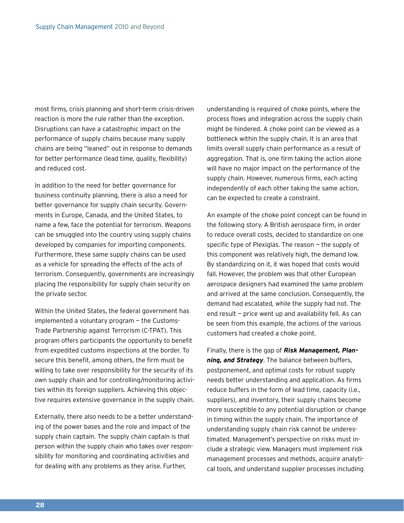most firms, crisis planning and short-term crisis-driven reaction is more the rule rather than the exception. Disruptions can have a catastrophic impact on the performance of supply chains because many supply chains are being "leaned" out in response to demands for better performance (lead time, quality, flexibility) and reduced cost.

In addition to the need for better governance for business continuity planning, there is also a need for better governance for supply chain security. Governments in Europe, Canada, and the United States, to name a few, face the potential for terrorism. Weapons can be smuggled into the country using supply chains developed by companies for importing components. Furthermore, these same supply chains can be used as a vehicle for spreading the effects of the acts of terrorism. Consequently, governments are increasingly placing the responsibility for supply chain security on the private sector.

Within the United States, the federal government has implemented a voluntary program — the Customs-Trade Partnership against Terrorism (C-TPAT). This program offers participants the opportunity to benefit from expedited customs inspections at the border. To secure this benefit, among others, the firm must be willing to take over responsibility for the security of its own supply chain and for controlling/monitoring activities within its foreign suppliers. Achieving this objective requires extensive governance in the supply chain.

Externally, there also needs to be a better understanding of the power bases and the role and impact of the supply chain captain. The supply chain captain is that person within the supply chain who takes over responsibility for monitoring and coordinating activities and for dealing with any problems as they arise. Further,

understanding is required of choke points, where the process flows and integration across the supply chain might be hindered. A choke point can be viewed as a bottleneck within the supply chain. It is an area that limits overall supply chain performance as a result of aggregation. That is, one firm taking the action alone will have no major impact on the performance of the supply chain. However, numerous firms, each acting independently of each other taking the same action, can be expected to create a constraint.

An example of the choke point concept can be found in the following story. A British aerospace firm, in order to reduce overall costs, decided to standardize on one specific type of Plexiglas. The reason — the supply of this component was relatively high, the demand low. By standardizing on it, it was hoped that costs would fall. However, the problem was that other European aerospace designers had examined the same problem and arrived at the same conclusion. Consequently, the demand had escalated, while the supply had not. The end result — price went up and availability fell. As can be seen from this example, the actions of the various customers had created a choke point.

Finally, there is the gap of *Risk Management, Planning, and Strategy*. The balance between buffers, postponement, and optimal costs for robust supply needs better understanding and application. As firms reduce buffers in the form of lead time, capacity (i.e., suppliers), and inventory, their supply chains become more susceptible to any potential disruption or change in timing within the supply chain. The importance of understanding supply chain risk cannot be underestimated. Management's perspective on risks must include a strategic view. Managers must implement risk management processes and methods, acquire analytical tools, and understand supplier processes including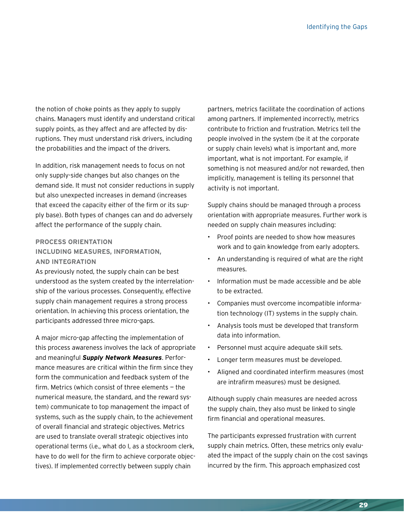the notion of choke points as they apply to supply chains. Managers must identify and understand critical supply points, as they affect and are affected by disruptions. They must understand risk drivers, including the probabilities and the impact of the drivers.

In addition, risk management needs to focus on not only supply-side changes but also changes on the demand side. It must not consider reductions in supply but also unexpected increases in demand (increases that exceed the capacity either of the firm or its supply base). Both types of changes can and do adversely affect the performance of the supply chain.

#### **Process Orientation**

## **Including Measures, Information, and Integration**

As previously noted, the supply chain can be best understood as the system created by the interrelationship of the various processes. Consequently, effective supply chain management requires a strong process orientation. In achieving this process orientation, the participants addressed three micro-gaps.

A major micro-gap affecting the implementation of this process awareness involves the lack of appropriate and meaningful *Supply Network Measures*. Performance measures are critical within the firm since they form the communication and feedback system of the firm. Metrics (which consist of three elements — the numerical measure, the standard, and the reward system) communicate to top management the impact of systems, such as the supply chain, to the achievement of overall financial and strategic objectives. Metrics are used to translate overall strategic objectives into operational terms (i.e., what do I, as a stockroom clerk, have to do well for the firm to achieve corporate objectives). If implemented correctly between supply chain

partners, metrics facilitate the coordination of actions among partners. If implemented incorrectly, metrics contribute to friction and frustration. Metrics tell the people involved in the system (be it at the corporate or supply chain levels) what is important and, more important, what is not important. For example, if something is not measured and/or not rewarded, then implicitly, management is telling its personnel that activity is not important.

Supply chains should be managed through a process orientation with appropriate measures. Further work is needed on supply chain measures including:

- Proof points are needed to show how measures work and to gain knowledge from early adopters.
- An understanding is required of what are the right measures.
- Information must be made accessible and be able to be extracted.
- Companies must overcome incompatible information technology (IT) systems in the supply chain.
- Analysis tools must be developed that transform data into information.
- Personnel must acquire adequate skill sets.
- Longer term measures must be developed.
- Aligned and coordinated interfirm measures (most are intrafirm measures) must be designed.

Although supply chain measures are needed across the supply chain, they also must be linked to single firm financial and operational measures.

The participants expressed frustration with current supply chain metrics. Often, these metrics only evaluated the impact of the supply chain on the cost savings incurred by the firm. This approach emphasized cost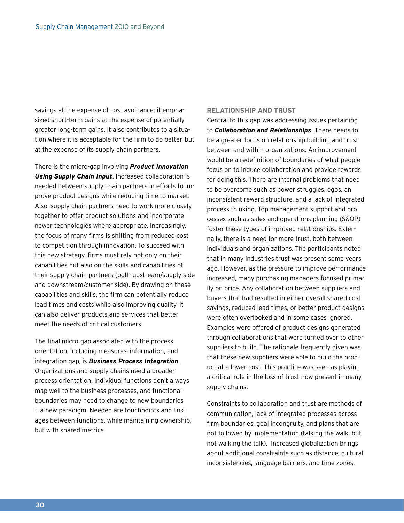savings at the expense of cost avoidance; it emphasized short-term gains at the expense of potentially greater long-term gains. It also contributes to a situation where it is acceptable for the firm to do better, but at the expense of its supply chain partners.

There is the micro-gap involving *Product Innovation Using Supply Chain Input*. Increased collaboration is needed between supply chain partners in efforts to improve product designs while reducing time to market. Also, supply chain partners need to work more closely together to offer product solutions and incorporate newer technologies where appropriate. Increasingly, the focus of many firms is shifting from reduced cost to competition through innovation. To succeed with this new strategy, firms must rely not only on their capabilities but also on the skills and capabilities of their supply chain partners (both upstream/supply side and downstream/customer side). By drawing on these capabilities and skills, the firm can potentially reduce lead times and costs while also improving quality. It can also deliver products and services that better meet the needs of critical customers.

The final micro-gap associated with the process orientation, including measures, information, and integration gap, is *Business Process Integration*. Organizations and supply chains need a broader process orientation. Individual functions don't always map well to the business processes, and functional boundaries may need to change to new boundaries — a new paradigm. Needed are touchpoints and linkages between functions, while maintaining ownership, but with shared metrics.

#### **Relationship and Trust**

Central to this gap was addressing issues pertaining to *Collaboration and Relationships*. There needs to be a greater focus on relationship building and trust between and within organizations. An improvement would be a redefinition of boundaries of what people focus on to induce collaboration and provide rewards for doing this. There are internal problems that need to be overcome such as power struggles, egos, an inconsistent reward structure, and a lack of integrated process thinking. Top management support and processes such as sales and operations planning (S&OP) foster these types of improved relationships. Externally, there is a need for more trust, both between individuals and organizations. The participants noted that in many industries trust was present some years ago. However, as the pressure to improve performance increased, many purchasing managers focused primarily on price. Any collaboration between suppliers and buyers that had resulted in either overall shared cost savings, reduced lead times, or better product designs were often overlooked and in some cases ignored. Examples were offered of product designs generated through collaborations that were turned over to other suppliers to build. The rationale frequently given was that these new suppliers were able to build the product at a lower cost. This practice was seen as playing a critical role in the loss of trust now present in many supply chains.

Constraints to collaboration and trust are methods of communication, lack of integrated processes across firm boundaries, goal incongruity, and plans that are not followed by implementation (talking the walk, but not walking the talk). Increased globalization brings about additional constraints such as distance, cultural inconsistencies, language barriers, and time zones.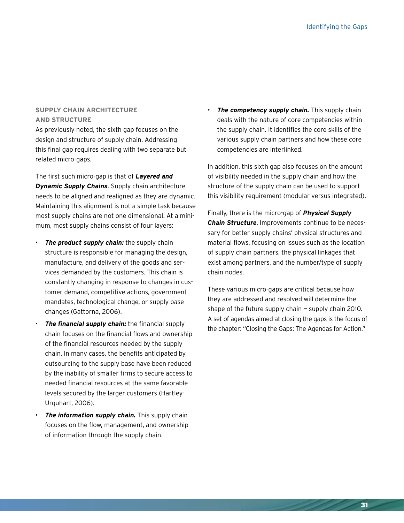# **Supply Chain Architecture and Structure**

As previously noted, the sixth gap focuses on the design and structure of supply chain. Addressing this final gap requires dealing with two separate but related micro-gaps.

The first such micro-gap is that of *Layered and Dynamic Supply Chains*. Supply chain architecture needs to be aligned and realigned as they are dynamic. Maintaining this alignment is not a simple task because most supply chains are not one dimensional. At a minimum, most supply chains consist of four layers:

- **The product supply chain:** the supply chain structure is responsible for managing the design, manufacture, and delivery of the goods and services demanded by the customers. This chain is constantly changing in response to changes in customer demand, competitive actions, government mandates, technological change, or supply base changes (Gattorna, 2006).
- *The financial supply chain:* the financial supply chain focuses on the financial flows and ownership of the financial resources needed by the supply chain. In many cases, the benefits anticipated by outsourcing to the supply base have been reduced by the inability of smaller firms to secure access to needed financial resources at the same favorable levels secured by the larger customers (Hartley-Urquhart, 2006).
- *The information supply chain.* This supply chain focuses on the flow, management, and ownership of information through the supply chain.

• *The competency supply chain.* This supply chain deals with the nature of core competencies within the supply chain. It identifies the core skills of the various supply chain partners and how these core competencies are interlinked.

In addition, this sixth gap also focuses on the amount of visibility needed in the supply chain and how the structure of the supply chain can be used to support this visibility requirement (modular versus integrated).

Finally, there is the micro-gap of *Physical Supply Chain Structure*. Improvements continue to be necessary for better supply chains' physical structures and material flows, focusing on issues such as the location of supply chain partners, the physical linkages that exist among partners, and the number/type of supply chain nodes.

These various micro-gaps are critical because how they are addressed and resolved will determine the shape of the future supply chain  $-$  supply chain 2010. A set of agendas aimed at closing the gaps is the focus of the chapter: "Closing the Gaps: The Agendas for Action."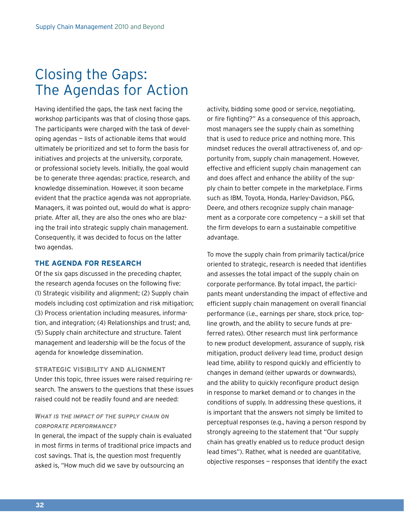# Closing the Gaps: The Agendas for Action

Having identified the gaps, the task next facing the workshop participants was that of closing those gaps. The participants were charged with the task of developing agendas — lists of actionable items that would ultimately be prioritized and set to form the basis for initiatives and projects at the university, corporate, or professional society levels. Initially, the goal would be to generate three agendas: practice, research, and knowledge dissemination. However, it soon became evident that the practice agenda was not appropriate. Managers, it was pointed out, would do what is appropriate. After all, they are also the ones who are blazing the trail into strategic supply chain management. Consequently, it was decided to focus on the latter two agendas.

## **The Agenda for Research**

Of the six gaps discussed in the preceding chapter, the research agenda focuses on the following five: (1) Strategic visibility and alignment; (2) Supply chain models including cost optimization and risk mitigation; (3) Process orientation including measures, information, and integration; (4) Relationships and trust; and, (5) Supply chain architecture and structure. Talent management and leadership will be the focus of the agenda for knowledge dissemination.

## **Strategic Visibility and Alignment**

Under this topic, three issues were raised requiring research. The answers to the questions that these issues raised could not be readily found and are needed:

# *What is the impact of the supply chain on corporate performance?*

In general, the impact of the supply chain is evaluated in most firms in terms of traditional price impacts and cost savings. That is, the question most frequently asked is, "How much did we save by outsourcing an

activity, bidding some good or service, negotiating, or fire fighting?" As a consequence of this approach, most managers see the supply chain as something that is used to reduce price and nothing more. This mindset reduces the overall attractiveness of, and opportunity from, supply chain management. However, effective and efficient supply chain management can and does affect and enhance the ability of the supply chain to better compete in the marketplace. Firms such as IBM, Toyota, Honda, Harley-Davidson, P&G, Deere, and others recognize supply chain management as a corporate core competency  $-$  a skill set that the firm develops to earn a sustainable competitive advantage.

To move the supply chain from primarily tactical/price oriented to strategic, research is needed that identifies and assesses the total impact of the supply chain on corporate performance. By total impact, the participants meant understanding the impact of effective and efficient supply chain management on overall financial performance (i.e., earnings per share, stock price, topline growth, and the ability to secure funds at preferred rates). Other research must link performance to new product development, assurance of supply, risk mitigation, product delivery lead time, product design lead time, ability to respond quickly and efficiently to changes in demand (either upwards or downwards), and the ability to quickly reconfigure product design in response to market demand or to changes in the conditions of supply. In addressing these questions, it is important that the answers not simply be limited to perceptual responses (e.g., having a person respond by strongly agreeing to the statement that "Our supply chain has greatly enabled us to reduce product design lead times"). Rather, what is needed are quantitative, objective responses  $-$  responses that identify the exact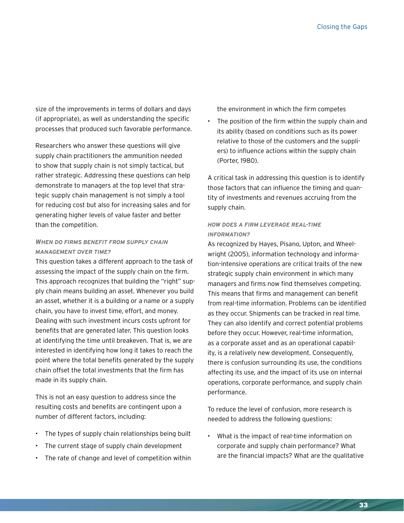size of the improvements in terms of dollars and days (if appropriate), as well as understanding the specific processes that produced such favorable performance.

Researchers who answer these questions will give supply chain practitioners the ammunition needed to show that supply chain is not simply tactical, but rather strategic. Addressing these questions can help demonstrate to managers at the top level that strategic supply chain management is not simply a tool for reducing cost but also for increasing sales and for generating higher levels of value faster and better than the competition.

# *When do firms benefit from Supply Chain Management over time?*

This question takes a different approach to the task of assessing the impact of the supply chain on the firm. This approach recognizes that building the "right" supply chain means building an asset. Whenever you build an asset, whether it is a building or a name or a supply chain, you have to invest time, effort, and money. Dealing with such investment incurs costs upfront for benefits that are generated later. This question looks at identifying the time until breakeven. That is, we are interested in identifying how long it takes to reach the point where the total benefits generated by the supply chain offset the total investments that the firm has made in its supply chain.

This is not an easy question to address since the resulting costs and benefits are contingent upon a number of different factors, including:

- The types of supply chain relationships being built
- The current stage of supply chain development
- The rate of change and level of competition within

the environment in which the firm competes

• The position of the firm within the supply chain and its ability (based on conditions such as its power relative to those of the customers and the suppliers) to influence actions within the supply chain (Porter, 1980).

A critical task in addressing this question is to identify those factors that can influence the timing and quantity of investments and revenues accruing from the supply chain.

# *How does a firm leverage real-time information?*

As recognized by Hayes, Pisano, Upton, and Wheelwright (2005), information technology and information-intensive operations are critical traits of the new strategic supply chain environment in which many managers and firms now find themselves competing. This means that firms and management can benefit from real-time information. Problems can be identified as they occur. Shipments can be tracked in real time. They can also identify and correct potential problems before they occur. However, real-time information, as a corporate asset and as an operational capability, is a relatively new development. Consequently, there is confusion surrounding its use, the conditions affecting its use, and the impact of its use on internal operations, corporate performance, and supply chain performance.

To reduce the level of confusion, more research is needed to address the following questions:

• What is the impact of real-time information on corporate and supply chain performance? What are the financial impacts? What are the qualitative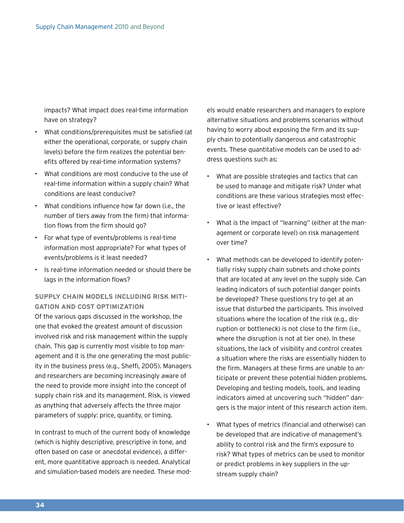impacts? What impact does real-time information have on strategy?

- What conditions/prerequisites must be satisfied (at either the operational, corporate, or supply chain levels) before the firm realizes the potential benefits offered by real-time information systems?
- What conditions are most conducive to the use of real-time information within a supply chain? What conditions are least conducive?
- What conditions influence how far down (i.e., the number of tiers away from the firm) that information flows from the firm should go?
- For what type of events/problems is real-time information most appropriate? For what types of events/problems is it least needed?
- Is real-time information needed or should there be lags in the information flows?

# **Supply Chain Models Including Risk Mitigation and Cost Optimization**

Of the various gaps discussed in the workshop, the one that evoked the greatest amount of discussion involved risk and risk management within the supply chain. This gap is currently most visible to top management and it is the one generating the most publicity in the business press (e.g., Sheffi, 2005). Managers and researchers are becoming increasingly aware of the need to provide more insight into the concept of supply chain risk and its management. Risk, is viewed as anything that adversely affects the three major parameters of supply: price, quantity, or timing.

In contrast to much of the current body of knowledge (which is highly descriptive, prescriptive in tone, and often based on case or anecdotal evidence), a different, more quantitative approach is needed. Analytical and simulation-based models are needed. These models would enable researchers and managers to explore alternative situations and problems scenarios without having to worry about exposing the firm and its supply chain to potentially dangerous and catastrophic events. These quantitative models can be used to address questions such as:

- What are possible strategies and tactics that can be used to manage and mitigate risk? Under what conditions are these various strategies most effective or least effective?
- What is the impact of "learning" (either at the management or corporate level) on risk management over time?
- What methods can be developed to identify potentially risky supply chain subnets and choke points that are located at any level on the supply side. Can leading indicators of such potential danger points be developed? These questions try to get at an issue that disturbed the participants. This involved situations where the location of the risk (e.g., disruption or bottleneck) is not close to the firm (i.e., where the disruption is not at tier one). In these situations, the lack of visibility and control creates a situation where the risks are essentially hidden to the firm. Managers at these firms are unable to anticipate or prevent these potential hidden problems. Developing and testing models, tools, and leading indicators aimed at uncovering such "hidden" dangers is the major intent of this research action item.
- What types of metrics (financial and otherwise) can be developed that are indicative of management's ability to control risk and the firm's exposure to risk? What types of metrics can be used to monitor or predict problems in key suppliers in the upstream supply chain?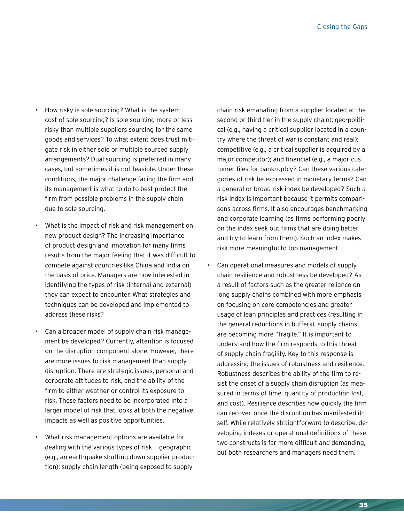- How risky is sole sourcing? What is the system cost of sole sourcing? Is sole sourcing more or less risky than multiple suppliers sourcing for the same goods and services? To what extent does trust mitigate risk in either sole or multiple sourced supply arrangements? Dual sourcing is preferred in many cases, but sometimes it is not feasible. Under these conditions, the major challenge facing the firm and its management is what to do to best protect the firm from possible problems in the supply chain due to sole sourcing.
- What is the impact of risk and risk management on new product design? The increasing importance of product design and innovation for many firms results from the major feeling that it was difficult to compete against countries like China and India on the basis of price. Managers are now interested in identifying the types of risk (internal and external) they can expect to encounter. What strategies and techniques can be developed and implemented to address these risks?
- Can a broader model of supply chain risk management be developed? Currently, attention is focused on the disruption component alone. However, there are more issues to risk management than supply disruption. There are strategic issues, personal and corporate attitudes to risk, and the ability of the firm to either weather or control its exposure to risk. These factors need to be incorporated into a larger model of risk that looks at both the negative impacts as well as positive opportunities.
- What risk management options are available for dealing with the various types of risk — geographic (e.g., an earthquake shutting down supplier production); supply chain length (being exposed to supply

chain risk emanating from a supplier located at the second or third tier in the supply chain); geo-political (e.g., having a critical supplier located in a country where the threat of war is constant and real); competitive (e.g., a critical supplier is acquired by a major competitor); and financial (e.g., a major customer files for bankruptcy? Can these various categories of risk be expressed in monetary terms? Can a general or broad risk index be developed? Such a risk index is important because it permits comparisons across firms. It also encourages benchmarking and corporate learning (as firms performing poorly on the index seek out firms that are doing better and try to learn from them). Such an index makes risk more meaningful to top management.

• Can operational measures and models of supply chain resilience and robustness be developed? As a result of factors such as the greater reliance on long supply chains combined with more emphasis on focusing on core competencies and greater usage of lean principles and practices (resulting in the general reductions in buffers), supply chains are becoming more "fragile." It is important to understand how the firm responds to this threat of supply chain fragility. Key to this response is addressing the issues of robustness and resilience. Robustness describes the ability of the firm to resist the onset of a supply chain disruption (as measured in terms of time, quantity of production lost, and cost). Resilience describes how quickly the firm can recover, once the disruption has manifested itself. While relatively straightforward to describe, developing indexes or operational definitions of these two constructs is far more difficult and demanding, but both researchers and managers need them.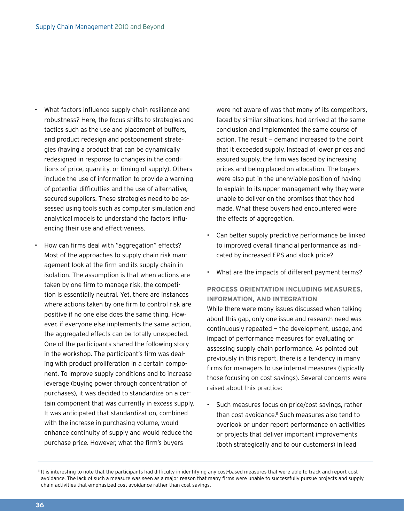- What factors influence supply chain resilience and robustness? Here, the focus shifts to strategies and tactics such as the use and placement of buffers, and product redesign and postponement strategies (having a product that can be dynamically redesigned in response to changes in the conditions of price, quantity, or timing of supply). Others include the use of information to provide a warning of potential difficulties and the use of alternative, secured suppliers. These strategies need to be assessed using tools such as computer simulation and analytical models to understand the factors influencing their use and effectiveness.
- How can firms deal with "aggregation" effects? Most of the approaches to supply chain risk management look at the firm and its supply chain in isolation. The assumption is that when actions are taken by one firm to manage risk, the competition is essentially neutral. Yet, there are instances where actions taken by one firm to control risk are positive if no one else does the same thing. However, if everyone else implements the same action, the aggregated effects can be totally unexpected. One of the participants shared the following story in the workshop. The participant's firm was dealing with product proliferation in a certain component. To improve supply conditions and to increase leverage (buying power through concentration of purchases), it was decided to standardize on a certain component that was currently in excess supply. It was anticipated that standardization, combined with the increase in purchasing volume, would enhance continuity of supply and would reduce the purchase price. However, what the firm's buyers

were not aware of was that many of its competitors, faced by similar situations, had arrived at the same conclusion and implemented the same course of action. The result — demand increased to the point that it exceeded supply. Instead of lower prices and assured supply, the firm was faced by increasing prices and being placed on allocation. The buyers were also put in the unenviable position of having to explain to its upper management why they were unable to deliver on the promises that they had made. What these buyers had encountered were the effects of aggregation.

- Can better supply predictive performance be linked to improved overall financial performance as indicated by increased EPS and stock price?
- What are the impacts of different payment terms?

# **Process Orientation Including Measures, Information, and Integration**

While there were many issues discussed when talking about this gap, only one issue and research need was continuously repeated — the development, usage, and impact of performance measures for evaluating or assessing supply chain performance. As pointed out previously in this report, there is a tendency in many firms for managers to use internal measures (typically those focusing on cost savings). Several concerns were raised about this practice:

• Such measures focus on price/cost savings, rather than cost avoidance.<sup>11</sup> Such measures also tend to overlook or under report performance on activities or projects that deliver important improvements (both strategically and to our customers) in lead

<sup>&</sup>lt;sup>11</sup> It is interesting to note that the participants had difficulty in identifying any cost-based measures that were able to track and report cost avoidance. The lack of such a measure was seen as a major reason that many firms were unable to successfully pursue projects and supply chain activities that emphasized cost avoidance rather than cost savings.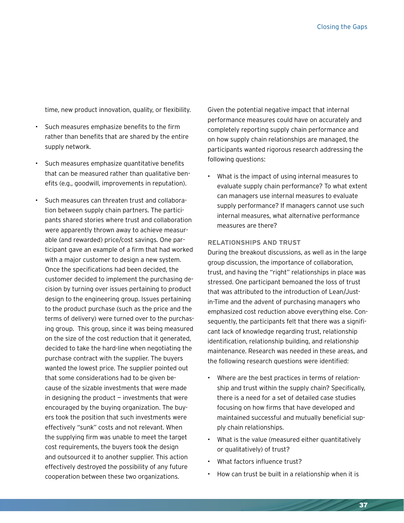time, new product innovation, quality, or flexibility.

- Such measures emphasize benefits to the firm rather than benefits that are shared by the entire supply network.
- Such measures emphasize quantitative benefits that can be measured rather than qualitative benefits (e.g., goodwill, improvements in reputation).
- Such measures can threaten trust and collaboration between supply chain partners. The participants shared stories where trust and collaboration were apparently thrown away to achieve measurable (and rewarded) price/cost savings. One participant gave an example of a firm that had worked with a major customer to design a new system. Once the specifications had been decided, the customer decided to implement the purchasing decision by turning over issues pertaining to product design to the engineering group. Issues pertaining to the product purchase (such as the price and the terms of delivery) were turned over to the purchasing group. This group, since it was being measured on the size of the cost reduction that it generated, decided to take the hard-line when negotiating the purchase contract with the supplier. The buyers wanted the lowest price. The supplier pointed out that some considerations had to be given because of the sizable investments that were made in designing the product  $-$  investments that were encouraged by the buying organization. The buyers took the position that such investments were effectively "sunk" costs and not relevant. When the supplying firm was unable to meet the target cost requirements, the buyers took the design and outsourced it to another supplier. This action effectively destroyed the possibility of any future cooperation between these two organizations.

Given the potential negative impact that internal performance measures could have on accurately and completely reporting supply chain performance and on how supply chain relationships are managed, the participants wanted rigorous research addressing the following questions:

• What is the impact of using internal measures to evaluate supply chain performance? To what extent can managers use internal measures to evaluate supply performance? If managers cannot use such internal measures, what alternative performance measures are there?

## **Relationships and Trust**

During the breakout discussions, as well as in the large group discussion, the importance of collaboration, trust, and having the "right" relationships in place was stressed. One participant bemoaned the loss of trust that was attributed to the introduction of Lean/Justin-Time and the advent of purchasing managers who emphasized cost reduction above everything else. Consequently, the participants felt that there was a significant lack of knowledge regarding trust, relationship identification, relationship building, and relationship maintenance. Research was needed in these areas, and the following research questions were identified:

- Where are the best practices in terms of relationship and trust within the supply chain? Specifically, there is a need for a set of detailed case studies focusing on how firms that have developed and maintained successful and mutually beneficial supply chain relationships.
- What is the value (measured either quantitatively or qualitatively) of trust?
- What factors influence trust?
- How can trust be built in a relationship when it is

37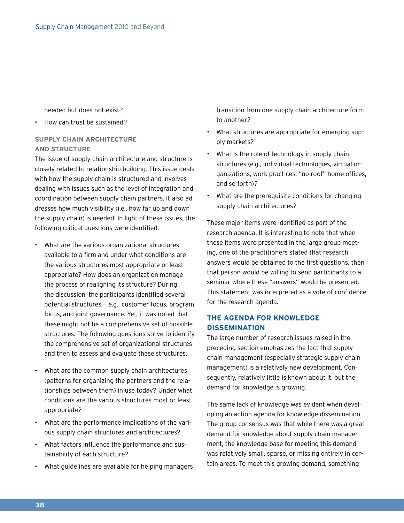#### needed but does not exist?

• How can trust be sustained?

# **Supply Chain Architecture and Structure**

The issue of supply chain architecture and structure is closely related to relationship building. This issue deals with how the supply chain is structured and involves dealing with issues such as the level of integration and coordination between supply chain partners. It also addresses how much visibility (i.e., how far up and down the supply chain) is needed. In light of these issues, the following critical questions were identified:

- What are the various organizational structures available to a firm and under what conditions are the various structures most appropriate or least appropriate? How does an organization manage the process of realigning its structure? During the discussion, the participants identified several potential structures — e.g., customer focus, program focus, and joint governance. Yet, it was noted that these might not be a comprehensive set of possible structures. The following questions strive to identify the comprehensive set of organizational structures and then to assess and evaluate these structures.
- What are the common supply chain architectures (patterns for organizing the partners and the relationships between them) in use today? Under what conditions are the various structures most or least appropriate?
- What are the performance implications of the various supply chain structures and architectures?
- What factors influence the performance and sustainability of each structure?
- What guidelines are available for helping managers

transition from one supply chain architecture form to another?

- What structures are appropriate for emerging supply markets?
- What is the role of technology in supply chain structures (e.g., individual technologies, virtual organizations, work practices, "no roof" home offices, and so forth)?
- What are the prerequisite conditions for changing supply chain architectures?

These major items were identified as part of the research agenda. It is interesting to note that when these items were presented in the large group meeting, one of the practitioners stated that research answers would be obtained to the first questions, then that person would be willing to send participants to a seminar where these "answers" would be presented. This statement was interpreted as a vote of confidence for the research agenda.

# **the agenda for knowledge dissemination**

The large number of research issues raised in the preceding section emphasizes the fact that supply chain management (especially strategic supply chain management) is a relatively new development. Consequently, relatively little is known about it, but the demand for knowledge is growing.

The same lack of knowledge was evident when developing an action agenda for knowledge dissemination. The group consensus was that while there was a great demand for knowledge about supply chain management, the knowledge base for meeting this demand was relatively small, sparse, or missing entirely in certain areas. To meet this growing demand, something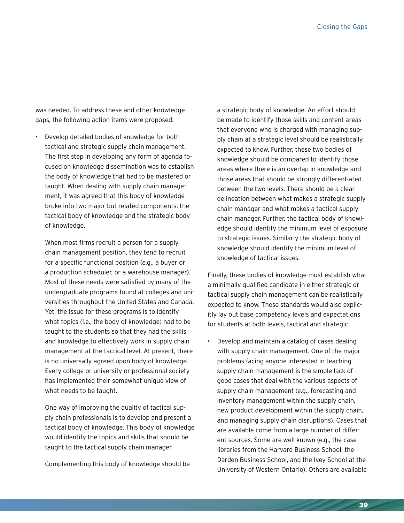was needed. To address these and other knowledge gaps, the following action items were proposed:

• Develop detailed bodies of knowledge for both tactical and strategic supply chain management. The first step in developing any form of agenda focused on knowledge dissemination was to establish the body of knowledge that had to be mastered or taught. When dealing with supply chain management, it was agreed that this body of knowledge broke into two major but related components: the tactical body of knowledge and the strategic body of knowledge.

When most firms recruit a person for a supply chain management position, they tend to recruit for a specific functional position (e.g., a buyer or a production scheduler, or a warehouse manager). Most of these needs were satisfied by many of the undergraduate programs found at colleges and universities throughout the United States and Canada. Yet, the issue for these programs is to identify what topics (i.e., the body of knowledge) had to be taught to the students so that they had the skills and knowledge to effectively work in supply chain management at the tactical level. At present, there is no universally agreed upon body of knowledge. Every college or university or professional society has implemented their somewhat unique view of what needs to be taught.

One way of improving the quality of tactical supply chain professionals is to develop and present a tactical body of knowledge. This body of knowledge would identify the topics and skills that should be taught to the tactical supply chain manager.

Complementing this body of knowledge should be

a strategic body of knowledge. An effort should be made to identify those skills and content areas that everyone who is charged with managing supply chain at a strategic level should be realistically expected to know. Further, these two bodies of knowledge should be compared to identify those areas where there is an overlap in knowledge and those areas that should be strongly differentiated between the two levels. There should be a clear delineation between what makes a strategic supply chain manager and what makes a tactical supply chain manager. Further, the tactical body of knowledge should identify the minimum level of exposure to strategic issues. Similarly the strategic body of knowledge should identify the minimum level of knowledge of tactical issues.

Finally, these bodies of knowledge must establish what a minimally qualified candidate in either strategic or tactical supply chain management can be realistically expected to know. These standards would also explicitly lay out base competency levels and expectations for students at both levels, tactical and strategic.

• Develop and maintain a catalog of cases dealing with supply chain management. One of the major problems facing anyone interested in teaching supply chain management is the simple lack of good cases that deal with the various aspects of supply chain management (e.g., forecasting and inventory management within the supply chain, new product development within the supply chain, and managing supply chain disruptions). Cases that are available come from a large number of different sources. Some are well known (e.g., the case libraries from the Harvard Business School, the Darden Business School, and the Ivey School at the University of Western Ontario). Others are available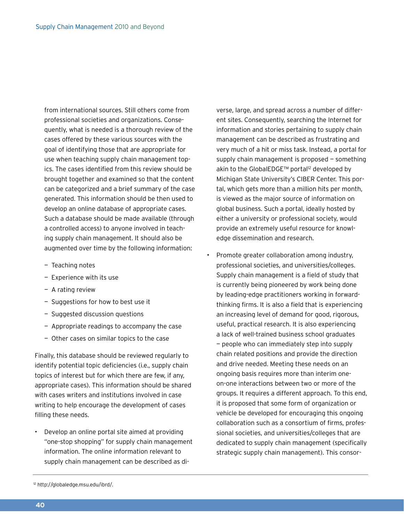from international sources. Still others come from professional societies and organizations. Consequently, what is needed is a thorough review of the cases offered by these various sources with the goal of identifying those that are appropriate for use when teaching supply chain management topics. The cases identified from this review should be brought together and examined so that the content can be categorized and a brief summary of the case generated. This information should be then used to develop an online database of appropriate cases. Such a database should be made available (through a controlled access) to anyone involved in teaching supply chain management. It should also be augmented over time by the following information:

- Teaching notes
- Experience with its use
- A rating review
- Suggestions for how to best use it
- Suggested discussion questions
- Appropriate readings to accompany the case
- Other cases on similar topics to the case

Finally, this database should be reviewed regularly to identify potential topic deficiencies (i.e., supply chain topics of interest but for which there are few, if any, appropriate cases). This information should be shared with cases writers and institutions involved in case writing to help encourage the development of cases filling these needs.

• Develop an online portal site aimed at providing "one-stop shopping" for supply chain management information. The online information relevant to supply chain management can be described as diverse, large, and spread across a number of different sites. Consequently, searching the Internet for information and stories pertaining to supply chain management can be described as frustrating and very much of a hit or miss task. Instead, a portal for supply chain management is proposed  $-$  something akin to the GlobalEDGE™ portal<sup>12</sup> developed by Michigan State University's CIBER Center. This portal, which gets more than a million hits per month, is viewed as the major source of information on global business. Such a portal, ideally hosted by either a university or professional society, would provide an extremely useful resource for knowledge dissemination and research.

• Promote greater collaboration among industry, professional societies, and universities/colleges. Supply chain management is a field of study that is currently being pioneered by work being done by leading-edge practitioners working in forwardthinking firms. It is also a field that is experiencing an increasing level of demand for good, rigorous, useful, practical research. It is also experiencing a lack of well-trained business school graduates — people who can immediately step into supply chain related positions and provide the direction and drive needed. Meeting these needs on an ongoing basis requires more than interim oneon-one interactions between two or more of the groups. It requires a different approach. To this end, it is proposed that some form of organization or vehicle be developed for encouraging this ongoing collaboration such as a consortium of firms, professional societies, and universities/colleges that are dedicated to supply chain management (specifically strategic supply chain management). This consor-

<sup>12</sup> http://globaledge.msu.edu/ibrd/.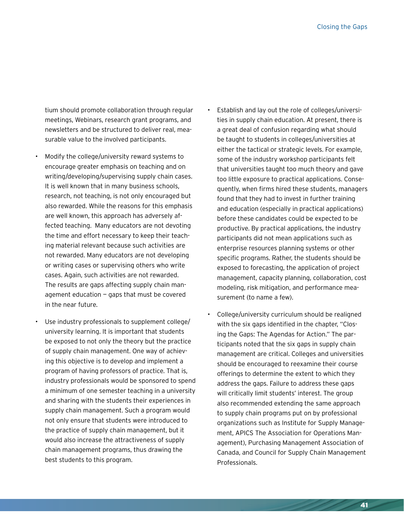tium should promote collaboration through regular meetings, Webinars, research grant programs, and newsletters and be structured to deliver real, measurable value to the involved participants.

- Modify the college/university reward systems to encourage greater emphasis on teaching and on writing/developing/supervising supply chain cases. It is well known that in many business schools, research, not teaching, is not only encouraged but also rewarded. While the reasons for this emphasis are well known, this approach has adversely affected teaching. Many educators are not devoting the time and effort necessary to keep their teaching material relevant because such activities are not rewarded. Many educators are not developing or writing cases or supervising others who write cases. Again, such activities are not rewarded. The results are gaps affecting supply chain management education  $-$  gaps that must be covered in the near future.
- Use industry professionals to supplement college/ university learning. It is important that students be exposed to not only the theory but the practice of supply chain management. One way of achieving this objective is to develop and implement a program of having professors of practice. That is, industry professionals would be sponsored to spend a minimum of one semester teaching in a university and sharing with the students their experiences in supply chain management. Such a program would not only ensure that students were introduced to the practice of supply chain management, but it would also increase the attractiveness of supply chain management programs, thus drawing the best students to this program.
- Establish and lay out the role of colleges/universities in supply chain education. At present, there is a great deal of confusion regarding what should be taught to students in colleges/universities at either the tactical or strategic levels. For example, some of the industry workshop participants felt that universities taught too much theory and gave too little exposure to practical applications. Consequently, when firms hired these students, managers found that they had to invest in further training and education (especially in practical applications) before these candidates could be expected to be productive. By practical applications, the industry participants did not mean applications such as enterprise resources planning systems or other specific programs. Rather, the students should be exposed to forecasting, the application of project management, capacity planning, collaboration, cost modeling, risk mitigation, and performance measurement (to name a few).
- College/university curriculum should be realigned with the six gaps identified in the chapter, "Closing the Gaps: The Agendas for Action." The participants noted that the six gaps in supply chain management are critical. Colleges and universities should be encouraged to reexamine their course offerings to determine the extent to which they address the gaps. Failure to address these gaps will critically limit students' interest. The group also recommended extending the same approach to supply chain programs put on by professional organizations such as Institute for Supply Management, APICS The Association for Operations Management), Purchasing Management Association of Canada, and Council for Supply Chain Management Professionals.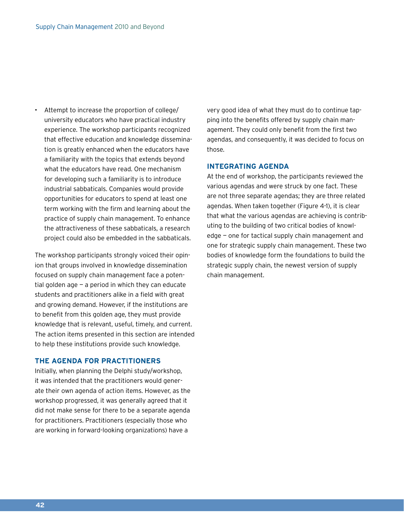• Attempt to increase the proportion of college/ university educators who have practical industry experience. The workshop participants recognized that effective education and knowledge dissemination is greatly enhanced when the educators have a familiarity with the topics that extends beyond what the educators have read. One mechanism for developing such a familiarity is to introduce industrial sabbaticals. Companies would provide opportunities for educators to spend at least one term working with the firm and learning about the practice of supply chain management. To enhance the attractiveness of these sabbaticals, a research project could also be embedded in the sabbaticals.

The workshop participants strongly voiced their opinion that groups involved in knowledge dissemination focused on supply chain management face a potential golden age  $-$  a period in which they can educate students and practitioners alike in a field with great and growing demand. However, if the institutions are to benefit from this golden age, they must provide knowledge that is relevant, useful, timely, and current. The action items presented in this section are intended to help these institutions provide such knowledge.

## **The agenda for practitioners**

Initially, when planning the Delphi study/workshop, it was intended that the practitioners would generate their own agenda of action items. However, as the workshop progressed, it was generally agreed that it did not make sense for there to be a separate agenda for practitioners. Practitioners (especially those who are working in forward-looking organizations) have a

very good idea of what they must do to continue tapping into the benefits offered by supply chain management. They could only benefit from the first two agendas, and consequently, it was decided to focus on those.

## **integrating agenda**

At the end of workshop, the participants reviewed the various agendas and were struck by one fact. These are not three separate agendas; they are three related agendas. When taken together (Figure 4-1), it is clear that what the various agendas are achieving is contributing to the building of two critical bodies of knowledge — one for tactical supply chain management and one for strategic supply chain management. These two bodies of knowledge form the foundations to build the strategic supply chain, the newest version of supply chain management.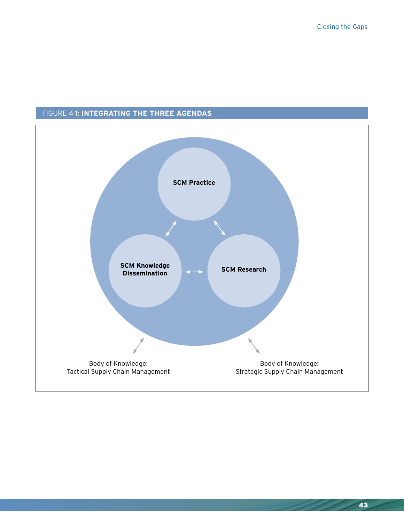# Figure 4-1: **Integrating the three agendas**



43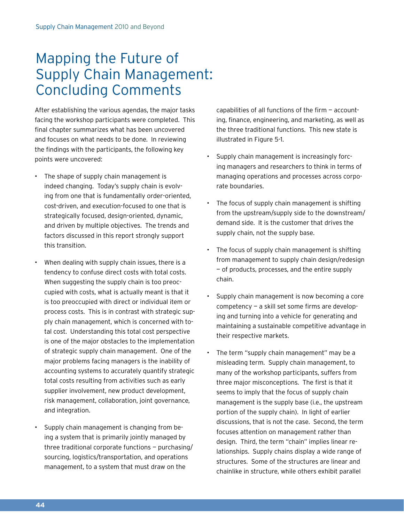# Mapping the Future of Supply Chain Management: Concluding Comments

After establishing the various agendas, the major tasks facing the workshop participants were completed. This final chapter summarizes what has been uncovered and focuses on what needs to be done. In reviewing the findings with the participants, the following key points were uncovered:

- The shape of supply chain management is indeed changing. Today's supply chain is evolving from one that is fundamentally order-oriented, cost-driven, and execution-focused to one that is strategically focused, design-oriented, dynamic, and driven by multiple objectives. The trends and factors discussed in this report strongly support this transition.
- When dealing with supply chain issues, there is a tendency to confuse direct costs with total costs. When suggesting the supply chain is too preoccupied with costs, what is actually meant is that it is too preoccupied with direct or individual item or process costs. This is in contrast with strategic supply chain management, which is concerned with total cost. Understanding this total cost perspective is one of the major obstacles to the implementation of strategic supply chain management. One of the major problems facing managers is the inability of accounting systems to accurately quantify strategic total costs resulting from activities such as early supplier involvement, new product development, risk management, collaboration, joint governance, and integration.
- Supply chain management is changing from being a system that is primarily jointly managed by three traditional corporate functions — purchasing/ sourcing, logistics/transportation, and operations management, to a system that must draw on the

capabilities of all functions of the firm — accounting, finance, engineering, and marketing, as well as the three traditional functions. This new state is illustrated in Figure 5-1.

- Supply chain management is increasingly forcing managers and researchers to think in terms of managing operations and processes across corporate boundaries.
- The focus of supply chain management is shifting from the upstream/supply side to the downstream/ demand side. It is the customer that drives the supply chain, not the supply base.
- The focus of supply chain management is shifting from management to supply chain design/redesign — of products, processes, and the entire supply chain.
- Supply chain management is now becoming a core competency — a skill set some firms are developing and turning into a vehicle for generating and maintaining a sustainable competitive advantage in their respective markets.
- The term "supply chain management" may be a misleading term. Supply chain management, to many of the workshop participants, suffers from three major misconceptions. The first is that it seems to imply that the focus of supply chain management is the supply base (i.e., the upstream portion of the supply chain). In light of earlier discussions, that is not the case. Second, the term focuses attention on management rather than design. Third, the term "chain" implies linear relationships. Supply chains display a wide range of structures. Some of the structures are linear and chainlike in structure, while others exhibit parallel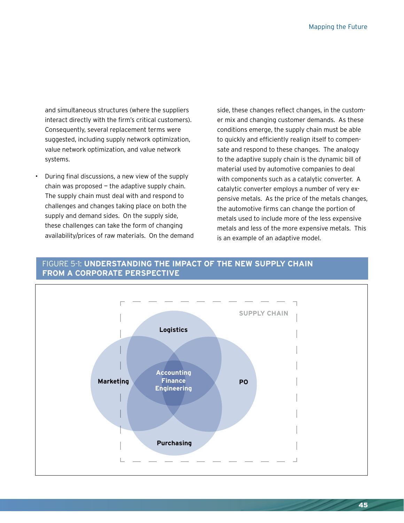and simultaneous structures (where the suppliers interact directly with the firm's critical customers). Consequently, several replacement terms were suggested, including supply network optimization, value network optimization, and value network systems.

• During final discussions, a new view of the supply chain was proposed  $-$  the adaptive supply chain. The supply chain must deal with and respond to challenges and changes taking place on both the supply and demand sides. On the supply side, these challenges can take the form of changing availability/prices of raw materials. On the demand side, these changes reflect changes, in the customer mix and changing customer demands. As these conditions emerge, the supply chain must be able to quickly and efficiently realign itself to compensate and respond to these changes. The analogy to the adaptive supply chain is the dynamic bill of material used by automotive companies to deal with components such as a catalytic converter. A catalytic converter employs a number of very expensive metals. As the price of the metals changes, the automotive firms can change the portion of metals used to include more of the less expensive metals and less of the more expensive metals. This is an example of an adaptive model.



# Figure 5-1: **Understanding the Impact of the New Supply Chain from a Corporate Perspective**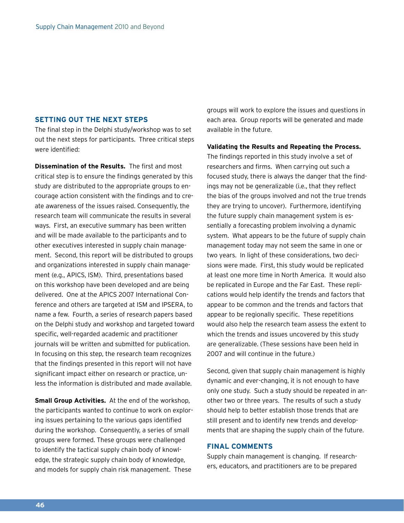# **Setting out the Next Steps**

The final step in the Delphi study/workshop was to set out the next steps for participants. Three critical steps were identified:

**Dissemination of the Results.** The first and most critical step is to ensure the findings generated by this study are distributed to the appropriate groups to encourage action consistent with the findings and to create awareness of the issues raised. Consequently, the research team will communicate the results in several ways. First, an executive summary has been written and will be made available to the participants and to other executives interested in supply chain management. Second, this report will be distributed to groups and organizations interested in supply chain management (e.g., APICS, ISM). Third, presentations based on this workshop have been developed and are being delivered. One at the APICS 2007 International Conference and others are targeted at ISM and IPSERA, to name a few. Fourth, a series of research papers based on the Delphi study and workshop and targeted toward specific, well-regarded academic and practitioner journals will be written and submitted for publication. In focusing on this step, the research team recognizes that the findings presented in this report will not have significant impact either on research or practice, unless the information is distributed and made available.

**Small Group Activities.** At the end of the workshop, the participants wanted to continue to work on exploring issues pertaining to the various gaps identified during the workshop. Consequently, a series of small groups were formed. These groups were challenged to identify the tactical supply chain body of knowledge, the strategic supply chain body of knowledge, and models for supply chain risk management. These

groups will work to explore the issues and questions in each area. Group reports will be generated and made available in the future.

#### **Validating the Results and Repeating the Process.**

The findings reported in this study involve a set of researchers and firms. When carrying out such a focused study, there is always the danger that the findings may not be generalizable (i.e., that they reflect the bias of the groups involved and not the true trends they are trying to uncover). Furthermore, identifying the future supply chain management system is essentially a forecasting problem involving a dynamic system. What appears to be the future of supply chain management today may not seem the same in one or two years. In light of these considerations, two decisions were made. First, this study would be replicated at least one more time in North America. It would also be replicated in Europe and the Far East. These replications would help identify the trends and factors that appear to be common and the trends and factors that appear to be regionally specific. These repetitions would also help the research team assess the extent to which the trends and issues uncovered by this study are generalizable. (These sessions have been held in 2007 and will continue in the future.)

Second, given that supply chain management is highly dynamic and ever-changing, it is not enough to have only one study. Such a study should be repeated in another two or three years. The results of such a study should help to better establish those trends that are still present and to identify new trends and developments that are shaping the supply chain of the future.

## **Final Comments**

Supply chain management is changing. If researchers, educators, and practitioners are to be prepared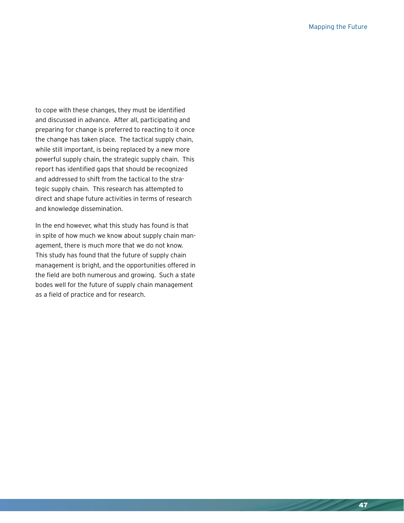to cope with these changes, they must be identified and discussed in advance. After all, participating and preparing for change is preferred to reacting to it once the change has taken place. The tactical supply chain, while still important, is being replaced by a new more powerful supply chain, the strategic supply chain. This report has identified gaps that should be recognized and addressed to shift from the tactical to the strategic supply chain. This research has attempted to direct and shape future activities in terms of research and knowledge dissemination.

In the end however, what this study has found is that in spite of how much we know about supply chain management, there is much more that we do not know. This study has found that the future of supply chain management is bright, and the opportunities offered in the field are both numerous and growing. Such a state bodes well for the future of supply chain management as a field of practice and for research.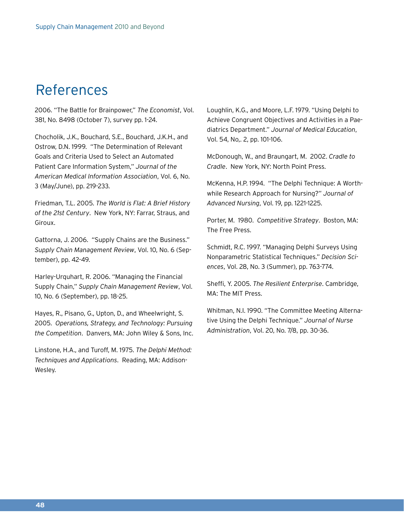# References

2006. "The Battle for Brainpower," *The Economist*, Vol. 381, No. 8498 (October 7), survey pp. 1-24.

Chocholik, J.K., Bouchard, S.E., Bouchard, J.K.H., and Ostrow, D.N. 1999. "The Determination of Relevant Goals and Criteria Used to Select an Automated Patient Care Information System," *Journal of the American Medical Information Association*, Vol. 6, No. 3 (May/June), pp. 219-233.

Friedman, T.L. 2005. *The World is Flat: A Brief History of the 21st Century*. New York, NY: Farrar, Straus, and Giroux.

Gattorna, J. 2006. "Supply Chains are the Business." *Supply Chain Management Review*, Vol. 10, No. 6 (September), pp. 42-49.

Harley-Urquhart, R. 2006. "Managing the Financial Supply Chain," *Supply Chain Management Review*, Vol. 10, No. 6 (September), pp. 18-25.

Hayes, R., Pisano, G., Upton, D., and Wheelwright, S. 2005. *Operations, Strategy, and Technology: Pursuing the Competition*. Danvers, MA: John Wiley & Sons, Inc.

Linstone, H.A., and Turoff, M. 1975. *The Delphi Method: Techniques and Applications*. Reading, MA: Addison-Wesley.

Loughlin, K.G., and Moore, L.F. 1979. "Using Delphi to Achieve Congruent Objectives and Activities in a Paediatrics Department." *Journal of Medical Education*, Vol. 54, No,. 2, pp. 101-106.

McDonough, W., and Braungart, M. 2002. *Cradle to Cradle*. New York, NY: North Point Press.

McKenna, H.P. 1994. "The Delphi Technique: A Worthwhile Research Approach for Nursing?" *Journal of Advanced Nursing*, Vol. 19, pp. 1221-1225.

Porter, M. 1980. *Competitive Strategy*. Boston, MA: The Free Press.

Schmidt, R.C. 1997. "Managing Delphi Surveys Using Nonparametric Statistical Techniques." *Decision Sciences*, Vol. 28, No. 3 (Summer), pp. 763-774.

Sheffi, Y. 2005. *The Resilient Enterprise*. Cambridge, MA: The MIT Press.

Whitman, N.I. 1990. "The Committee Meeting Alternative Using the Delphi Technique." *Journal of Nurse Administration*, Vol. 20, No. 7/8, pp. 30-36.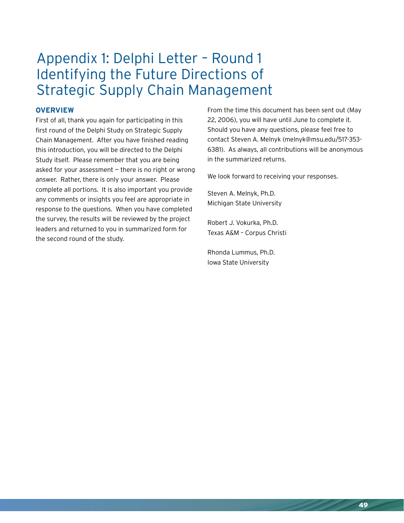# Appendix 1: Delphi Letter – Round 1 Identifying the Future Directions of Strategic Supply Chain Management

# **Overview**

First of all, thank you again for participating in this first round of the Delphi Study on Strategic Supply Chain Management. After you have finished reading this introduction, you will be directed to the Delphi Study itself. Please remember that you are being asked for your assessment  $-$  there is no right or wrong answer. Rather, there is only your answer. Please complete all portions. It is also important you provide any comments or insights you feel are appropriate in response to the questions. When you have completed the survey, the results will be reviewed by the project leaders and returned to you in summarized form for the second round of the study.

From the time this document has been sent out (May 22, 2006), you will have until June to complete it. Should you have any questions, please feel free to contact Steven A. Melnyk (melnyk@msu.edu/517-353- 6381). As always, all contributions will be anonymous in the summarized returns.

We look forward to receiving your responses.

Steven A. Melnyk, Ph.D. Michigan State University

Robert J. Vokurka, Ph.D. Texas A&M – Corpus Christi

Rhonda Lummus, Ph.D. Iowa State University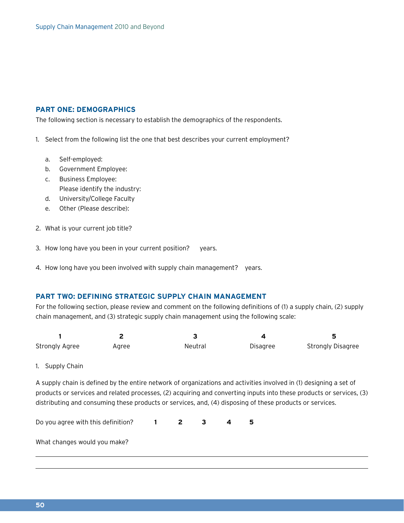## **Part One: Demographics**

The following section is necessary to establish the demographics of the respondents.

- 1. Select from the following list the one that best describes your current employment?
	- a. Self-employed:
	- b. Government Employee:
	- c. Business Employee: Please identify the industry:
	- d. University/College Faculty
	- e. Other (Please describe):
- 2. What is your current job title?
- 3. How long have you been in your current position? years.
- 4. How long have you been involved with supply chain management? years.

# **Part Two: Defining Strategic Supply Chain Management**

For the following section, please review and comment on the following definitions of (1) a supply chain, (2) supply chain management, and (3) strategic supply chain management using the following scale:

| Strongly Agree | Agree | Neutral | <b>Disagree</b> | <b>Strongly Disagree</b> |
|----------------|-------|---------|-----------------|--------------------------|

1. Supply Chain

A supply chain is defined by the entire network of organizations and activities involved in (1) designing a set of products or services and related processes, (2) acquiring and converting inputs into these products or services, (3) distributing and consuming these products or services, and, (4) disposing of these products or services.

Do you agree with this definition? **1 2 3 4 5**

What changes would you make?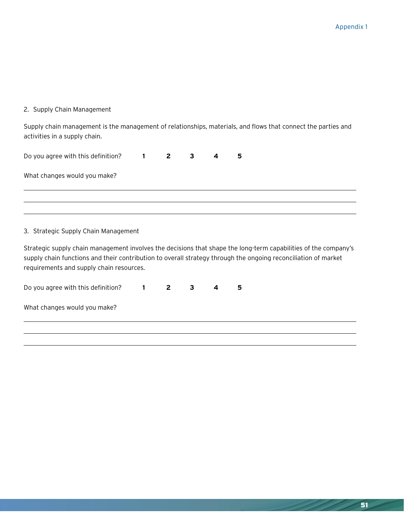# 2. Supply Chain Management

Supply chain management is the management of relationships, materials, and flows that connect the parties and activities in a supply chain.

| Do you agree with this definition? 1 2 3 4 |  |  | 5 |  |  |
|--------------------------------------------|--|--|---|--|--|
| What changes would you make?               |  |  |   |  |  |
|                                            |  |  |   |  |  |
|                                            |  |  |   |  |  |

## 3. Strategic Supply Chain Management

Strategic supply chain management involves the decisions that shape the long-term capabilities of the company's supply chain functions and their contribution to overall strategy through the ongoing reconciliation of market requirements and supply chain resources.

| Do you agree with this definition? 1 | 2 | 3 | 4 | 5 |  |  |
|--------------------------------------|---|---|---|---|--|--|
| What changes would you make?         |   |   |   |   |  |  |
|                                      |   |   |   |   |  |  |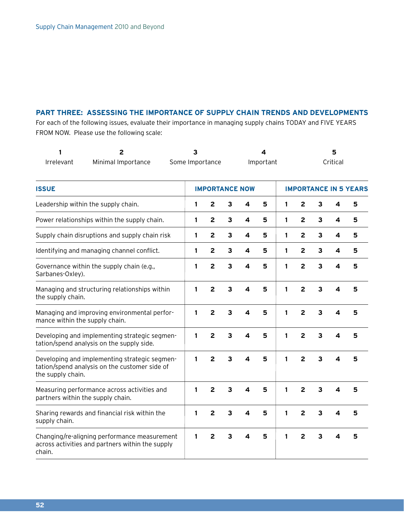# **Part Three: Assessing the Importance of Supply Chain Trends and Developments**

For each of the following issues, evaluate their importance in managing supply chains TODAY and FIVE YEARS FROM NOW. Please use the following scale:

| Irrelevant | Minimal Importance | Some Importance | Important | Critical |
|------------|--------------------|-----------------|-----------|----------|

| <b>ISSUE</b>                                                                                                        |   |                |   | <b>IMPORTANCE NOW</b> |   |   |                |   |   | <b>IMPORTANCE IN 5 YEARS</b> |
|---------------------------------------------------------------------------------------------------------------------|---|----------------|---|-----------------------|---|---|----------------|---|---|------------------------------|
| Leadership within the supply chain.                                                                                 | 1 | $\mathbf{2}$   | 3 | 4                     | 5 | 1 | $\mathbf{2}$   | 3 | 4 | 5                            |
| Power relationships within the supply chain.                                                                        | 1 | $\mathbf{2}$   | 3 | 4                     | 5 | 1 | $\overline{2}$ | 3 | 4 | 5                            |
| Supply chain disruptions and supply chain risk                                                                      | 1 | $\mathbf{2}$   | 3 | 4                     | 5 | 1 | $\mathbf{z}$   | 3 | 4 | 5                            |
| Identifying and managing channel conflict.                                                                          | 1 | $\mathbf{2}$   | 3 | 4                     | 5 | 1 | $\mathbf{2}$   | 3 | 4 | 5                            |
| Governance within the supply chain (e.g.,<br>Sarbanes-Oxley).                                                       | 1 | $\overline{2}$ | 3 | 4                     | 5 | 1 | $\overline{2}$ | 3 | 4 | 5                            |
| Managing and structuring relationships within<br>the supply chain.                                                  | 1 | $\mathbf{z}$   | 3 | 4                     | 5 | 1 | $\overline{2}$ | 3 | 4 | 5                            |
| Managing and improving environmental perfor-<br>mance within the supply chain.                                      | 1 | $\overline{2}$ | 3 | 4                     | 5 | 1 | $\overline{2}$ | 3 | 4 | 5                            |
| Developing and implementing strategic segmen-<br>tation/spend analysis on the supply side.                          | 1 | $\mathbf{2}$   | 3 | 4                     | 5 | 1 | $\overline{2}$ | 3 | 4 | 5                            |
| Developing and implementing strategic segmen-<br>tation/spend analysis on the customer side of<br>the supply chain. | 1 | $\mathbf{z}$   | 3 | 4                     | 5 | 1 | $\overline{2}$ | 3 | 4 | 5                            |
| Measuring performance across activities and<br>partners within the supply chain.                                    | 1 | $\overline{2}$ | 3 | 4                     | 5 | 1 | $\mathbf{2}$   | 3 | 4 | 5                            |
| Sharing rewards and financial risk within the<br>supply chain.                                                      | 1 | $\mathbf{2}$   | 3 | 4                     | 5 | 1 | $\overline{2}$ | 3 | 4 | 5                            |
| Changing/re-aligning performance measurement<br>across activities and partners within the supply<br>chain.          | 1 | $\mathbf{z}$   | 3 | 4                     | 5 | 1 | 2              | 3 | 4 | 5                            |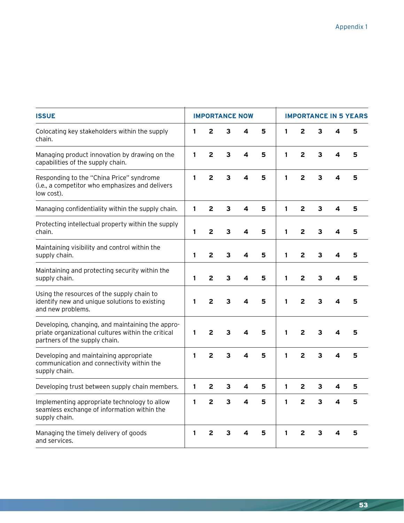| <b>ISSUE</b>                                                                                                                            |              |                |   | <b>IMPORTANCE NOW</b> |   |              |                |   |   | <b>IMPORTANCE IN 5 YEARS</b> |
|-----------------------------------------------------------------------------------------------------------------------------------------|--------------|----------------|---|-----------------------|---|--------------|----------------|---|---|------------------------------|
| Colocating key stakeholders within the supply<br>chain.                                                                                 | 1            | 2              | З | 4                     | 5 | 1            | 2              | 3 |   | 5                            |
| Managing product innovation by drawing on the<br>capabilities of the supply chain.                                                      | $\mathbf{1}$ | 2              | 3 | 4                     | 5 | 1            | $\overline{2}$ | 3 | 4 | 5                            |
| Responding to the "China Price" syndrome<br>(i.e., a competitor who emphasizes and delivers<br>low cost).                               | $\mathbf{1}$ | $\mathbf{2}$   | 3 | 4                     | 5 | 1            | $\mathbf{2}$   | 3 | 4 | 5                            |
| Managing confidentiality within the supply chain.                                                                                       | 1            | $\mathbf{2}$   | З | 4                     | 5 | $\mathbf{1}$ | $\mathbf{z}$   | 3 | 4 | 5                            |
| Protecting intellectual property within the supply<br>chain.                                                                            | 1            | 2              | 3 | 4                     | 5 | 1            | $\mathbf{2}$   | 3 | 4 | 5                            |
| Maintaining visibility and control within the<br>supply chain.                                                                          | 1            | $\mathbf{2}$   | 3 | 4                     | 5 | 1            | $\overline{2}$ | 3 | 4 | 5                            |
| Maintaining and protecting security within the<br>supply chain.                                                                         | 1            | 2              | 3 | 4                     | 5 | 1            | 2              | 3 | 4 | 5                            |
| Using the resources of the supply chain to<br>identify new and unique solutions to existing<br>and new problems.                        | 1            | 2              | 3 | 4                     | 5 | 1            | $\mathbf{2}$   | 3 | 4 | 5                            |
| Developing, changing, and maintaining the appro-<br>priate organizational cultures within the critical<br>partners of the supply chain. | 1            | 2              | 3 | 4                     | 5 | 1            | 2              | З | 4 | 5                            |
| Developing and maintaining appropriate<br>communication and connectivity within the<br>supply chain.                                    | 1            | $\overline{2}$ | 3 | 4                     | 5 | 1            | $\mathbf{2}$   | 3 | 4 | 5                            |
| Developing trust between supply chain members.                                                                                          | 1            | 2              | З | 4                     | 5 | 1            | 2              | З | 4 | 5                            |
| Implementing appropriate technology to allow<br>seamless exchange of information within the<br>supply chain.                            | 1            | 2              | 3 | 4                     | 5 | 1            | $\mathbf{2}$   | 3 | 4 | 5                            |
| Managing the timely delivery of goods<br>and services.                                                                                  | 1            | 2              | 3 | 4                     | 5 | 1            | $\mathbf{2}$   | 3 | 4 | 5                            |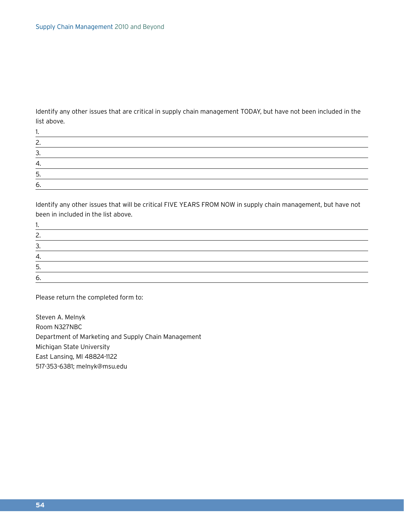Identify any other issues that are critical in supply chain management TODAY, but have not been included in the list above.

| ົ<br><u>.</u>   |  |  |
|-----------------|--|--|
| ົ<br><u>. .</u> |  |  |
|                 |  |  |
| 5.              |  |  |
| 6.              |  |  |

Identify any other issues that will be critical FIVE YEARS FROM NOW in supply chain management, but have not been in included in the list above.

| ົ<br><u>.</u> |  |  |  |
|---------------|--|--|--|
| ົ<br>J.       |  |  |  |
|               |  |  |  |
| כ             |  |  |  |
| b             |  |  |  |

Please return the completed form to:

Steven A. Melnyk Room N327NBC Department of Marketing and Supply Chain Management Michigan State University East Lansing, MI 48824-1122 517-353-6381; melnyk@msu.edu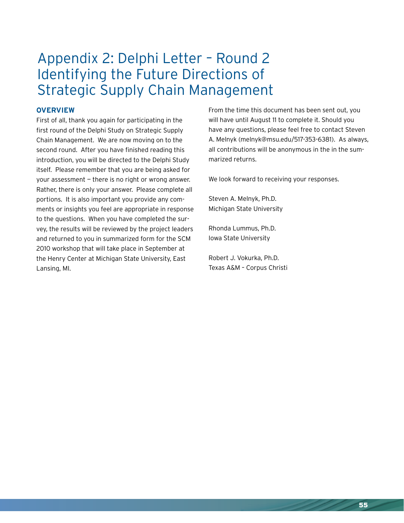# Appendix 2: Delphi Letter – Round 2 Identifying the Future Directions of Strategic Supply Chain Management

# **Overview**

First of all, thank you again for participating in the first round of the Delphi Study on Strategic Supply Chain Management. We are now moving on to the second round. After you have finished reading this introduction, you will be directed to the Delphi Study itself. Please remember that you are being asked for your assessment — there is no right or wrong answer. Rather, there is only your answer. Please complete all portions. It is also important you provide any comments or insights you feel are appropriate in response to the questions. When you have completed the survey, the results will be reviewed by the project leaders and returned to you in summarized form for the SCM 2010 workshop that will take place in September at the Henry Center at Michigan State University, East Lansing, MI.

From the time this document has been sent out, you will have until August 11 to complete it. Should you have any questions, please feel free to contact Steven A. Melnyk (melnyk@msu.edu/517-353-6381). As always, all contributions will be anonymous in the in the summarized returns.

We look forward to receiving your responses.

Steven A. Melnyk, Ph.D. Michigan State University

Rhonda Lummus, Ph.D. Iowa State University

Robert J. Vokurka, Ph.D. Texas A&M – Corpus Christi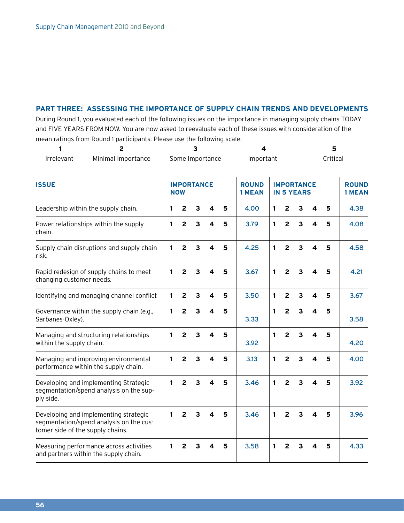# **Part Three: Assessing the Importance of Supply Chain Trends and Developments**

During Round 1, you evaluated each of the following issues on the importance in managing supply chains TODAY and FIVE YEARS FROM NOW. You are now asked to reevaluate each of these issues with consideration of the mean ratings from Round 1 participants. Please use the following scale:

| <i><u><b>Irrelevant</b></u></i> | Minimal Importance | Some Importance | Important | Critical |
|---------------------------------|--------------------|-----------------|-----------|----------|

| <b>ISSUE</b>                                                                                                         |    | <b>IMPORTANCE</b><br><b>NOW</b> |   |   |   | <b>ROUND</b><br><b>1 MEAN</b> |   |                | <b>IMPORTANCE</b><br><b>IN 5 YEARS</b> |                         |   | <b>ROUND</b><br><b>1 MEAN</b> |
|----------------------------------------------------------------------------------------------------------------------|----|---------------------------------|---|---|---|-------------------------------|---|----------------|----------------------------------------|-------------------------|---|-------------------------------|
| Leadership within the supply chain.                                                                                  | 1  | $\mathbf{2}$                    | 3 | 4 | 5 | 4.00                          | 1 | $\mathbf{2}$   | З                                      | 4                       | 5 | 4.38                          |
| Power relationships within the supply<br>chain.                                                                      | 1  | $\mathbf{z}$                    | 3 | 4 | 5 | 3.79                          | 1 | $\mathbf{z}$   | 3                                      | 4                       | 5 | 4.08                          |
| Supply chain disruptions and supply chain<br>risk.                                                                   | 1  | $\overline{2}$                  | 3 | 4 | 5 | 4.25                          | 1 | $\mathbf{z}$   | 3                                      | 4                       | 5 | 4.58                          |
| Rapid redesign of supply chains to meet<br>changing customer needs.                                                  | 1  | $\overline{2}$                  | 3 | 4 | 5 | 3.67                          | 1 | $\overline{2}$ | 3                                      | 4                       | 5 | 4.21                          |
| Identifying and managing channel conflict                                                                            | 1  | $\mathbf{z}$                    | 3 | 4 | 5 | 3.50                          | 1 | $\mathbf{z}$   | 3                                      | 4                       | 5 | 3.67                          |
| Governance within the supply chain (e.g.,<br>Sarbanes-Oxley).                                                        | 1  | $\overline{2}$                  | 3 | 4 | 5 | 3.33                          | 1 | $\mathbf{z}$   | 3                                      | $\boldsymbol{4}$        | 5 | 3.58                          |
| Managing and structuring relationships<br>within the supply chain.                                                   | 1  | $\mathbf{z}$                    | 3 | 4 | 5 | 3.92                          | 1 | $\overline{2}$ | 3                                      | 4                       | 5 | 4.20                          |
| Managing and improving environmental<br>performance within the supply chain.                                         | 1  | $\overline{2}$                  | 3 | 4 | 5 | 3.13                          | 1 | $\overline{2}$ | 3                                      | $\overline{\mathbf{4}}$ | 5 | 4.00                          |
| Developing and implementing Strategic<br>segmentation/spend analysis on the sup-<br>ply side.                        | 1  | $\mathbf{z}$                    | 3 | 4 | 5 | 3.46                          | 1 | $\overline{2}$ | 3                                      | 4                       | 5 | 3.92                          |
| Developing and implementing strategic<br>segmentation/spend analysis on the cus-<br>tomer side of the supply chains. | 1. | $\overline{2}$                  | 3 | 4 | 5 | 3.46                          | 1 | $\overline{2}$ | 3                                      | 4                       | 5 | 3.96                          |
| Measuring performance across activities<br>and partners within the supply chain.                                     | 1  | $\overline{2}$                  | 3 | 4 | 5 | 3.58                          | 1 | $\mathbf{z}$   | 3                                      | 4                       | 5 | 4.33                          |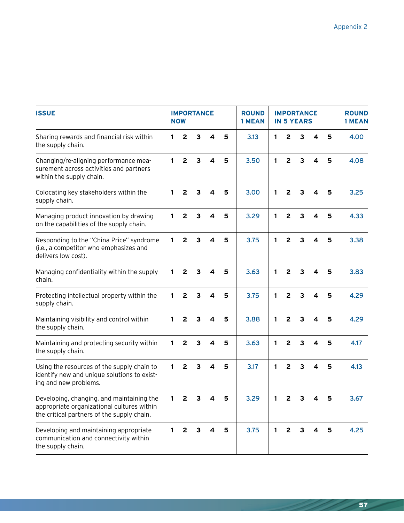| <b>ISSUE</b>                                                                                                                          |              | <b>IMPORTANCE</b><br><b>NOW</b> |              |   |   | <b>ROUND</b><br><b>1 MEAN</b> |   | <b>IMPORTANCE</b><br><b>IN 5 YEARS</b> |   |   |   | <b>ROUND</b><br><b>1 MEAN</b> |
|---------------------------------------------------------------------------------------------------------------------------------------|--------------|---------------------------------|--------------|---|---|-------------------------------|---|----------------------------------------|---|---|---|-------------------------------|
| Sharing rewards and financial risk within<br>the supply chain.                                                                        | 1            | 2                               | $\mathbf{3}$ | 4 | 5 | 3.13                          | 1 | $\overline{2}$                         | 3 | 4 | 5 | 4.00                          |
| Changing/re-aligning performance mea-<br>surement across activities and partners<br>within the supply chain.                          | 1            | 2                               | 3            | 4 | 5 | 3.50                          | 1 | $\mathbf{2}$                           | 3 | 4 | 5 | 4.08                          |
| Colocating key stakeholders within the<br>supply chain.                                                                               | 1            | $\overline{2}$                  | 3            | 4 | 5 | 3.00                          | 1 | $\overline{2}$                         | 3 | 4 | 5 | 3.25                          |
| Managing product innovation by drawing<br>on the capabilities of the supply chain.                                                    | 1            | $\overline{2}$                  | 3            | 4 | 5 | 3.29                          | 1 | $\overline{2}$                         | 3 | 4 | 5 | 4.33                          |
| Responding to the "China Price" syndrome<br>(i.e., a competitor who emphasizes and<br>delivers low cost).                             | $\mathbf{1}$ | $\overline{2}$                  | 3            | 4 | 5 | 3.75                          | 1 | $\overline{2}$                         | 3 | 4 | 5 | 3.38                          |
| Managing confidentiality within the supply<br>chain.                                                                                  | 1            | $\overline{2}$                  | 3            | 4 | 5 | 3.63                          | 1 | $\overline{2}$                         | 3 | 4 | 5 | 3.83                          |
| Protecting intellectual property within the<br>supply chain.                                                                          | 1            | $\overline{2}$                  | 3            | 4 | 5 | 3.75                          | 1 | $\overline{2}$                         | 3 | 4 | 5 | 4.29                          |
| Maintaining visibility and control within<br>the supply chain.                                                                        | 1            | $\overline{2}$                  | 3            | 4 | 5 | 3.88                          | 1 | $\overline{2}$                         | 3 | 4 | 5 | 4.29                          |
| Maintaining and protecting security within<br>the supply chain.                                                                       | 1            | $\overline{2}$                  | 3            | 4 | 5 | 3.63                          | 1 | $\overline{2}$                         | 3 | 4 | 5 | 4.17                          |
| Using the resources of the supply chain to<br>identify new and unique solutions to exist-<br>ing and new problems.                    | $\mathbf{1}$ | $\overline{2}$                  | $\mathbf{3}$ | 4 | 5 | 3.17                          | 1 | $\overline{2}$                         | 3 | 4 | 5 | 4.13                          |
| Developing, changing, and maintaining the<br>appropriate organizational cultures within<br>the critical partners of the supply chain. | 1            | 2                               | 3            | 4 | 5 | 3.29                          | 1 | 2                                      | З | 4 | 5 | 3.67                          |
| Developing and maintaining appropriate<br>communication and connectivity within<br>the supply chain.                                  | 1            | $\mathbf{2}$                    | 3            | 4 | 5 | 3.75                          | 1 | $\overline{2}$                         | 3 | 4 | 5 | 4.25                          |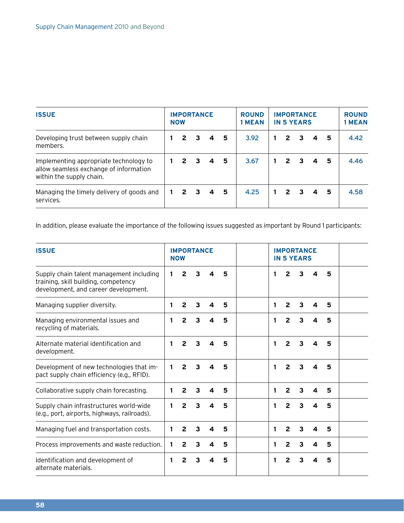| <b>ISSUE</b>                                                                                                 | <b>IMPORTANCE</b><br><b>NOW</b> |               |  |                       |      |      | <b>IMPORTANCE</b><br><b>IN 5 YEARS</b> |                  | <b>ROUND</b><br><b>1 MEAN</b> |   |     |      |  | <b>ROUND</b><br><b>1 MEAN</b> |
|--------------------------------------------------------------------------------------------------------------|---------------------------------|---------------|--|-----------------------|------|------|----------------------------------------|------------------|-------------------------------|---|-----|------|--|-------------------------------|
| Developing trust between supply chain<br>members.                                                            |                                 | $\mathcal{P}$ |  | $\mathbf 4$           | - 5  | 3.92 |                                        | $\mathcal{P}$    | 3                             | 4 | -5  | 4.42 |  |                               |
| Implementing appropriate technology to<br>allow seamless exchange of information<br>within the supply chain. |                                 | $\mathbf{z}$  |  | $\blacktriangle$      | $-5$ | 3.67 |                                        | $\overline{2}$   | 3                             | 4 | - 5 | 4.46 |  |                               |
| Managing the timely delivery of goods and<br>services.                                                       |                                 | $\mathbf{z}$  |  | $\boldsymbol{\Delta}$ | - 5  | 4.25 |                                        | $\boldsymbol{z}$ | 3                             | 4 | 5   | 4.58 |  |                               |

In addition, please evaluate the importance of the following issues suggested as important by Round 1 participants:

| <b>ISSUE</b>                                                                                                             | <b>NOW</b> | <b>IMPORTANCE</b> |                         |   |   |   | <b>IMPORTANCE</b><br><b>IN 5 YEARS</b> |   |   |   |  |
|--------------------------------------------------------------------------------------------------------------------------|------------|-------------------|-------------------------|---|---|---|----------------------------------------|---|---|---|--|
| Supply chain talent management including<br>training, skill building, competency<br>development, and career development. | 1          | $\mathbf{2}$      | 3                       | 4 | 5 | 1 | 2                                      | 3 |   | 5 |  |
| Managing supplier diversity.                                                                                             | 1          | $\mathbf{2}$      | 3                       | 4 | 5 | 1 | $\overline{2}$                         | 3 | 4 | 5 |  |
| Managing environmental issues and<br>recycling of materials.                                                             | 1          | $\mathbf{2}$      | 3                       | 4 | 5 | 1 | $\overline{2}$                         | 3 |   | 5 |  |
| Alternate material identification and<br>development.                                                                    | 1          | $\overline{2}$    | 3                       | 4 | 5 | 1 | $\overline{2}$                         | 3 | Δ | 5 |  |
| Development of new technologies that im-<br>pact supply chain efficiency (e.g., RFID).                                   | 1          | $\mathbf{2}$      | $\overline{\mathbf{3}}$ | 4 | 5 | 1 | $\overline{2}$                         | 3 |   | 5 |  |
| Collaborative supply chain forecasting.                                                                                  | 1          | $\mathbf{2}$      | 3                       | 4 | 5 |   | $\mathbf{2}$                           | 3 | 4 | 5 |  |
| Supply chain infrastructures world-wide<br>(e.g., port, airports, highways, railroads).                                  | 1          | $\overline{2}$    | $\overline{\mathbf{3}}$ | 4 | 5 | 1 | $\overline{2}$                         | 3 |   | 5 |  |
| Managing fuel and transportation costs.                                                                                  | 1          | $\mathbf{2}$      | 3                       | 4 | 5 | 1 | $\mathbf{2}$                           | 3 | 4 | 5 |  |
| Process improvements and waste reduction.                                                                                | 1          | $\mathbf{2}$      | 3                       | 4 | 5 |   | $\mathbf{2}$                           | 3 | 4 | 5 |  |
| Identification and development of<br>alternate materials.                                                                | 1          | 2                 | З                       | 4 | 5 |   | 2                                      | 3 |   | 5 |  |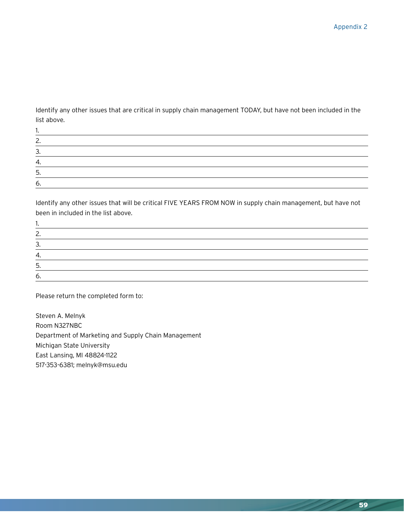Identify any other issues that are critical in supply chain management TODAY, but have not been included in the list above.

| ∍<br><u>.</u> . |  |  |
|-----------------|--|--|
| ว<br>J.         |  |  |
| 4.              |  |  |
| 5.              |  |  |
| ╭<br>6.         |  |  |

Identify any other issues that will be critical FIVE YEARS FROM NOW in supply chain management, but have not been in included in the list above.

| ∍<br><u>.</u> . |  |
|-----------------|--|
| ิว<br>J.        |  |
| 4.              |  |
| 5.              |  |
| 6.              |  |

Please return the completed form to:

Steven A. Melnyk Room N327NBC Department of Marketing and Supply Chain Management Michigan State University East Lansing, MI 48824-1122 517-353-6381; melnyk@msu.edu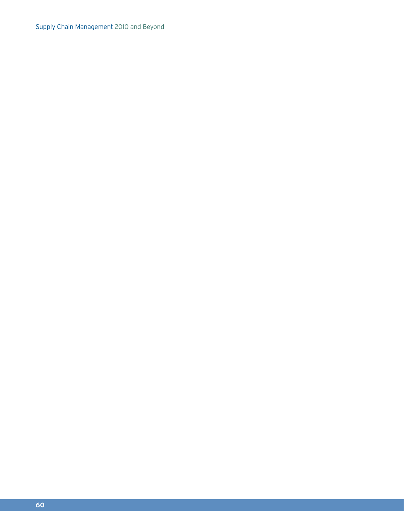Supply Chain Management 2010 and Beyond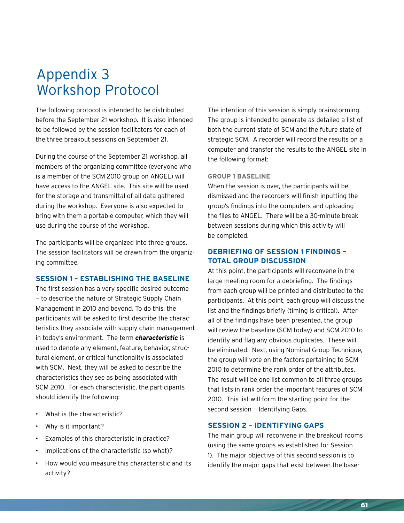# Appendix 3 Workshop Protocol

The following protocol is intended to be distributed before the September 21 workshop. It is also intended to be followed by the session facilitators for each of the three breakout sessions on September 21.

During the course of the September 21 workshop, all members of the organizing committee (everyone who is a member of the SCM 2010 group on ANGEL) will have access to the ANGEL site. This site will be used for the storage and transmittal of all data gathered during the workshop. Everyone is also expected to bring with them a portable computer, which they will use during the course of the workshop.

The participants will be organized into three groups. The session facilitators will be drawn from the organizing committee.

## **Session 1 – Establishing the Baseline**

The first session has a very specific desired outcome — to describe the nature of Strategic Supply Chain Management in 2010 and beyond. To do this, the participants will be asked to first describe the characteristics they associate with supply chain management in today's environment. The term *characteristic* is used to denote any element, feature, behavior, structural element, or critical functionality is associated with SCM. Next, they will be asked to describe the characteristics they see as being associated with SCM 2010. For each characteristic, the participants should identify the following:

- What is the characteristic?
- Why is it important?
- Examples of this characteristic in practice?
- Implications of the characteristic (so what)?
- How would you measure this characteristic and its activity?

The intention of this session is simply brainstorming. The group is intended to generate as detailed a list of both the current state of SCM and the future state of strategic SCM. A recorder will record the results on a computer and transfer the results to the ANGEL site in the following format:

## **GROUP 1 Baseline**

When the session is over, the participants will be dismissed and the recorders will finish inputting the group's findings into the computers and uploading the files to ANGEL. There will be a 30-minute break between sessions during which this activity will be completed.

# **Debriefing of Session 1 Findings – Total Group Discussion**

At this point, the participants will reconvene in the large meeting room for a debriefing. The findings from each group will be printed and distributed to the participants. At this point, each group will discuss the list and the findings briefly (timing is critical). After all of the findings have been presented, the group will review the baseline (SCM today) and SCM 2010 to identify and flag any obvious duplicates. These will be eliminated. Next, using Nominal Group Technique, the group will vote on the factors pertaining to SCM 2010 to determine the rank order of the attributes. The result will be one list common to all three groups that lists in rank order the important features of SCM 2010. This list will form the starting point for the second session — Identifying Gaps.

## **Session 2 – Identifying Gaps**

The main group will reconvene in the breakout rooms (using the same groups as established for Session 1). The major objective of this second session is to identify the major gaps that exist between the base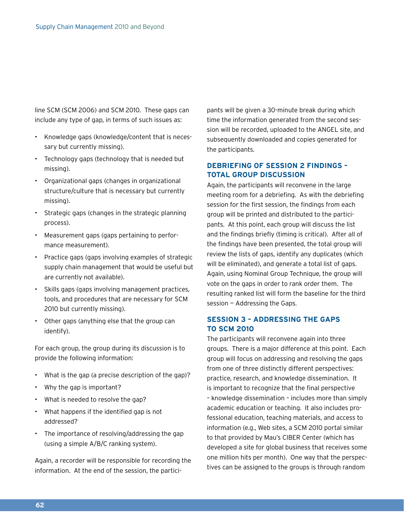line SCM (SCM 2006) and SCM 2010. These gaps can include any type of gap, in terms of such issues as:

- Knowledge gaps (knowledge/content that is necessary but currently missing).
- Technology gaps (technology that is needed but missing).
- Organizational gaps (changes in organizational structure/culture that is necessary but currently missing).
- Strategic gaps (changes in the strategic planning process).
- Measurement gaps (gaps pertaining to performance measurement).
- Practice gaps (gaps involving examples of strategic supply chain management that would be useful but are currently not available).
- Skills gaps (gaps involving management practices, tools, and procedures that are necessary for SCM 2010 but currently missing).
- Other gaps (anything else that the group can identify).

For each group, the group during its discussion is to provide the following information:

- What is the gap (a precise description of the gap)?
- Why the gap is important?
- What is needed to resolve the gap?
- What happens if the identified gap is not addressed?
- The importance of resolving/addressing the gap (using a simple A/B/C ranking system).

Again, a recorder will be responsible for recording the information. At the end of the session, the partici-

pants will be given a 30-minute break during which time the information generated from the second session will be recorded, uploaded to the ANGEL site, and subsequently downloaded and copies generated for the participants.

# **Debriefing of Session 2 Findings – Total Group Discussion**

Again, the participants will reconvene in the large meeting room for a debriefing. As with the debriefing session for the first session, the findings from each group will be printed and distributed to the participants. At this point, each group will discuss the list and the findings briefly (timing is critical). After all of the findings have been presented, the total group will review the lists of gaps, identify any duplicates (which will be eliminated), and generate a total list of gaps. Again, using Nominal Group Technique, the group will vote on the gaps in order to rank order them. The resulting ranked list will form the baseline for the third session — Addressing the Gaps.

# **Session 3 – Addressing the Gaps to SCM 2010**

The participants will reconvene again into three groups. There is a major difference at this point. Each group will focus on addressing and resolving the gaps from one of three distinctly different perspectives: practice, research, and knowledge dissemination. It is important to recognize that the final perspective – knowledge dissemination – includes more than simply academic education or teaching. It also includes professional education, teaching materials, and access to information (e.g., Web sites, a SCM 2010 portal similar to that provided by Mau's CIBER Center (which has developed a site for global business that receives some one million hits per month). One way that the perspectives can be assigned to the groups is through random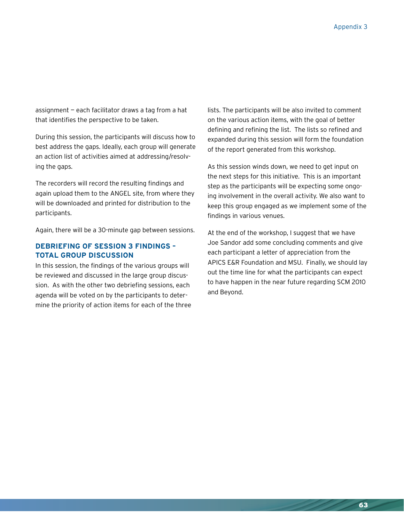assignment — each facilitator draws a tag from a hat that identifies the perspective to be taken.

During this session, the participants will discuss how to best address the gaps. Ideally, each group will generate an action list of activities aimed at addressing/resolving the gaps.

The recorders will record the resulting findings and again upload them to the ANGEL site, from where they will be downloaded and printed for distribution to the participants.

Again, there will be a 30-minute gap between sessions.

# **Debriefing of Session 3 Findings – Total Group Discussion**

In this session, the findings of the various groups will be reviewed and discussed in the large group discussion. As with the other two debriefing sessions, each agenda will be voted on by the participants to determine the priority of action items for each of the three lists. The participants will be also invited to comment on the various action items, with the goal of better defining and refining the list. The lists so refined and expanded during this session will form the foundation of the report generated from this workshop.

As this session winds down, we need to get input on the next steps for this initiative. This is an important step as the participants will be expecting some ongoing involvement in the overall activity. We also want to keep this group engaged as we implement some of the findings in various venues.

At the end of the workshop, I suggest that we have Joe Sandor add some concluding comments and give each participant a letter of appreciation from the APICS E&R Foundation and MSU. Finally, we should lay out the time line for what the participants can expect to have happen in the near future regarding SCM 2010 and Beyond.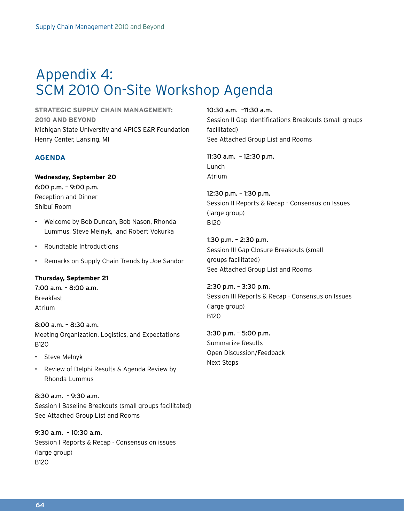# Appendix 4: SCM 2010 On-Site Workshop Agenda

**Strategic Supply Chain Management: 2010 and Beyond** Michigan State University and APICS E&R Foundation Henry Center, Lansing, MI

# **AGENDA**

**Wednesday, September 20** 6:00 p.m. – 9:00 p.m. Reception and Dinner Shibui Room

- Welcome by Bob Duncan, Bob Nason, Rhonda Lummus, Steve Melnyk, and Robert Vokurka
- Roundtable Introductions
- Remarks on Supply Chain Trends by Joe Sandor

**Thursday, September 21** 7:00 a.m. – 8:00 a.m. Breakfast Atrium

8:00 a.m. – 8:30 a.m. Meeting Organization, Logistics, and Expectations B120

- Steve Melnyk
- Review of Delphi Results & Agenda Review by Rhonda Lummus

8:30 a.m. - 9:30 a.m. Session I Baseline Breakouts (small groups facilitated) See Attached Group List and Rooms

9:30 a.m. – 10:30 a.m. Session I Reports & Recap - Consensus on issues (large group) B120

10:30 a.m. –11:30 a.m.

Session II Gap Identifications Breakouts (small groups facilitated) See Attached Group List and Rooms

11:30 a.m. – 12:30 p.m. Lunch Atrium

12:30 p.m. – 1:30 p.m. Session II Reports & Recap - Consensus on Issues (large group) B120

1:30 p.m. – 2:30 p.m. Session III Gap Closure Breakouts (small groups facilitated) See Attached Group List and Rooms

2:30 p.m. – 3:30 p.m. Session III Reports & Recap - Consensus on Issues (large group) B120

3:30 p.m. – 5:00 p.m. Summarize Results Open Discussion/Feedback Next Steps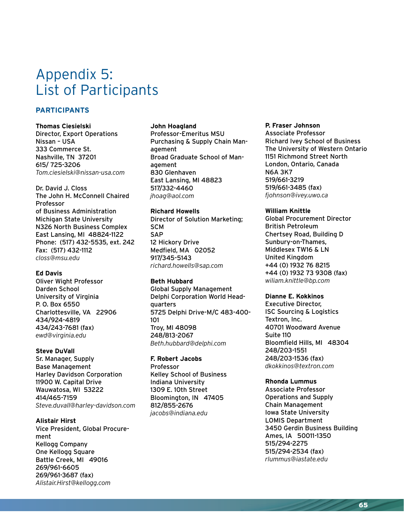# Appendix 5: List of Participants

# **Participants**

## **Thomas Ciesielski**

Director, Export Operations Nissan – USA 333 Commerce St. Nashville, TN 37201 615/ 725-3206 *Tom.ciesielski@nissan-usa.com*

Dr. David J. Closs The John H. McConnell Chaired Professor of Business Administration Michigan State University N326 North Business Complex East Lansing, MI 48824-1122 Phone: (517) 432-5535, ext. 242 Fax: (517) 432-1112 *closs@msu.edu*

## **Ed Davis**

Oliver Wight Professor Darden School University of Virginia P. O. Box 6550 Charlottesville, VA 22906 434/924-4819 434/243-7681 (fax) *ewd@virginia.edu*

#### **Steve DuVall**

Sr. Manager, Supply Base Management Harley Davidson Corporation 11900 W. Capital Drive Wauwatosa, WI 53222 414/465-7159 *Steve.duvall@harley-davidson.com*

**Alistair Hirst** Vice President, Global Procurement Kellogg Company One Kellogg Square Battle Creek, MI 49016 269/961-6605 269/961-3687 (fax) *Alistair.Hirst@kellogg.com*

#### **John Hoagland**

Professor-Emeritus MSU Purchasing & Supply Chain Management Broad Graduate School of Management 830 Glenhaven East Lansing, MI 48823 517/332-4460 *jhoag@aol.com*

#### **Richard Howells**

Director of Solution Marketing; **SCM** SAP 12 Hickory Drive Medfield, MA 02052 917/345-5143 *richard.howells@sap.com*

## **Beth Hubbard**

Global Supply Management Delphi Corporation World Headquarters 5725 Delphi Drive-M/C 483-400- 101 Troy, MI 48098 248/813-2067 *Beth.hubbard@delphi.com*

**F. Robert Jacobs** Professor Kelley School of Business Indiana University 1309 E. 10th Street Bloomington, IN 47405 812/855-2676 *jacobs@indiana.edu*

#### **P. Fraser Johnson**

Associate Professor Richard Ivey School of Business The University of Western Ontario 1151 Richmond Street North London, Ontario, Canada N6A 3K7 519/661-3219 519/661-3485 (fax) *fjohnson@ivey.uwo.ca*

### **William Knittle**

Global Procurement Director British Petroleum Chertsey Road, Building D Sunbury-on-Thames, Middlesex TW16 & LN United Kingdom +44 (0) 1932 76 8215 +44 (0) 1932 73 9308 (fax) *wiliam.knittle@bp.com*

## **Dianne E. Kokkinos**

Executive Director, ISC Sourcing & Logistics Textron, Inc. 40701 Woodward Avenue Suite 110 Bloomfield Hills, MI 48304 248/203-1551 248/203-1536 (fax) *dkokkinos@textron.com*

#### **Rhonda Lummus**

Associate Professor Operations and Supply Chain Management Iowa State University LOMIS Department 3450 Gerdin Business Building Ames, IA 50011-1350 515/294-2275 515/294-2534 (fax) *rlummus@iastate.edu*